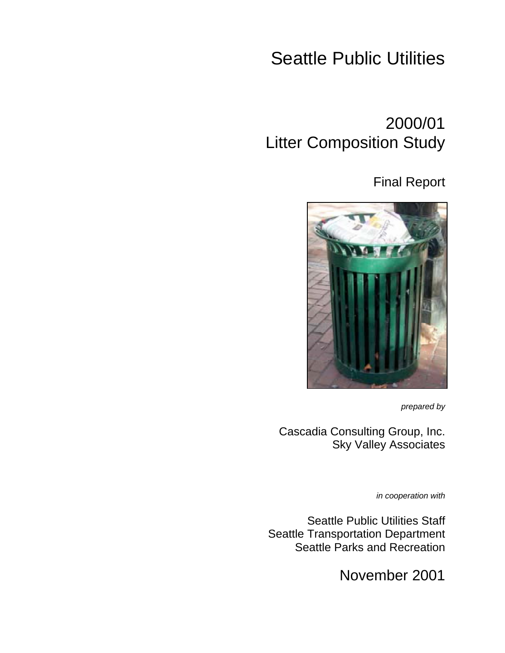# Seattle Public Utilities

# 2000/01 Litter Composition Study

## Final Report



*prepared by*

Cascadia Consulting Group, Inc. Sky Valley Associates

*in cooperation with*

Seattle Public Utilities Staff Seattle Transportation Department Seattle Parks and Recreation

November 2001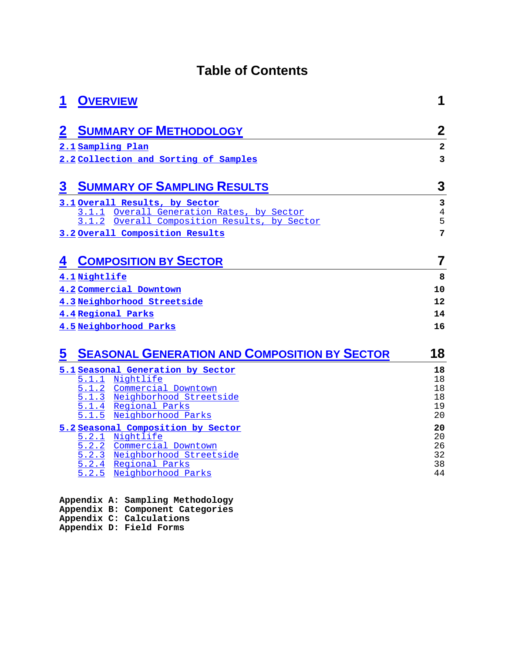## **Table of Contents**

| 1           | <b>OVERVIEW</b>                                            | 1                       |
|-------------|------------------------------------------------------------|-------------------------|
| $\mathbf 2$ | <b>SUMMARY OF METHODOLOGY</b>                              | $\mathbf 2$             |
|             | 2.1 Sampling Plan                                          | $\overline{\mathbf{2}}$ |
|             | 2.2 Collection and Sorting of Samples                      | 3                       |
| $\bf{3}$    | <b>SUMMARY OF SAMPLING RESULTS</b>                         | 3                       |
|             | 3.1 Overall Results, by Sector                             | 3                       |
|             | 3.1.1 Overall Generation Rates, by Sector                  | $\sqrt{4}$              |
|             | Overall Composition Results, by Sector<br>3.1.2            | 5                       |
|             | 3.2 Overall Composition Results                            | 7                       |
| 4           | <b>COMPOSITION BY SECTOR</b>                               | 7                       |
|             | 4.1 Nightlife                                              | 8                       |
|             | 4.2 Commercial Downtown                                    | 10                      |
|             | 4.3 Neighborhood Streetside                                | 12                      |
|             | 4.4 Regional Parks                                         | 14                      |
|             | 4.5 Neighborhood Parks                                     | 16                      |
| 5           | <b>SEASONAL GENERATION AND COMPOSITION BY SECTOR</b>       | 18                      |
|             | 5.1 Seasonal Generation by Sector                          | 18                      |
|             | Nightlife<br>5.1.1                                         | 18                      |
|             | 5.1.2 Commercial Downtown<br>5.1.3 Neighborhood Streetside | 18<br>18                |
|             | Regional Parks<br>5.1.4                                    | 19                      |
|             | Neighborhood Parks<br>5.1.5                                | 20                      |
|             | 5.2 Seasonal Composition by Sector                         | 20                      |
|             | 5.2.1 Nightlife                                            | 20<br>26                |
|             | 5.2.2 Commercial Downtown<br>5.2.3 Neighborhood Streetside | 32                      |
|             | 5.2.4 Regional Parks                                       | 38                      |
|             | Neighborhood Parks<br>5.2.5                                | 44                      |
|             | Appendix A: Sampling Methodology                           |                         |

- **Appendix B: Component Categories**
- **Appendix C: Calculations**
- **Appendix D: Field Forms**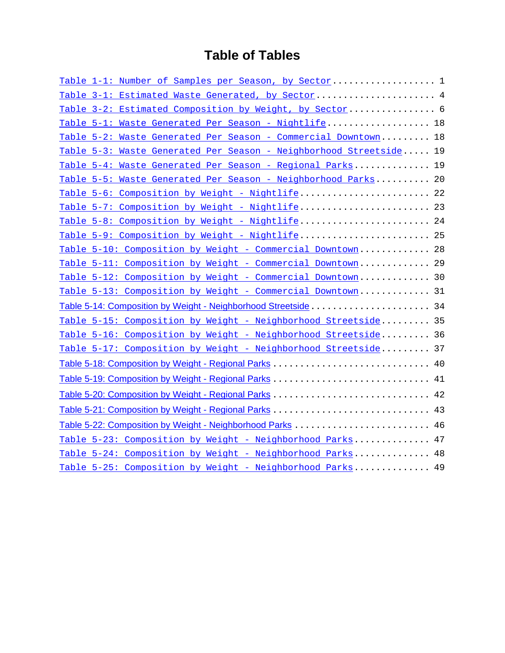## **Table of Tables**

| Table 1-1: Number of Samples per Season, by Sector 1               |  |
|--------------------------------------------------------------------|--|
| Table 3-1: Estimated Waste Generated, by Sector 4                  |  |
| Table 3-2: Estimated Composition by Weight, by Sector 6            |  |
| Table 5-1: Waste Generated Per Season - Nightlife 18               |  |
| Table 5-2: Waste Generated Per Season - Commercial Downtown 18     |  |
| Table 5-3: Waste Generated Per Season - Neighborhood Streetside 19 |  |
| Table 5-4: Waste Generated Per Season - Regional Parks 19          |  |
| Table 5-5: Waste Generated Per Season - Neighborhood Parks 20      |  |
| Table 5-6: Composition by Weight - Nightlife 22                    |  |
| Table 5-7: Composition by Weight - Nightlife 23                    |  |
| Table 5-8: Composition by Weight - Nightlife 24                    |  |
| Table 5-9: Composition by Weight - Nightlife 25                    |  |
| Table 5-10: Composition by Weight - Commercial Downtown 28         |  |
| Table 5-11: Composition by Weight - Commercial Downtown 29         |  |
| Table 5-12: Composition by Weight - Commercial Downtown 30         |  |
| Table 5-13: Composition by Weight - Commercial Downtown 31         |  |
|                                                                    |  |
| Table 5-15: Composition by Weight - Neighborhood Streetside 35     |  |
| Table 5-16: Composition by Weight - Neighborhood Streetside 36     |  |
| Table 5-17: Composition by Weight - Neighborhood Streetside 37     |  |
|                                                                    |  |
|                                                                    |  |
|                                                                    |  |
|                                                                    |  |
|                                                                    |  |
| Table 5-23: Composition by Weight - Neighborhood Parks 47          |  |
| Table 5-24: Composition by Weight - Neighborhood Parks 48          |  |
| Table 5-25: Composition by Weight - Neighborhood Parks 49          |  |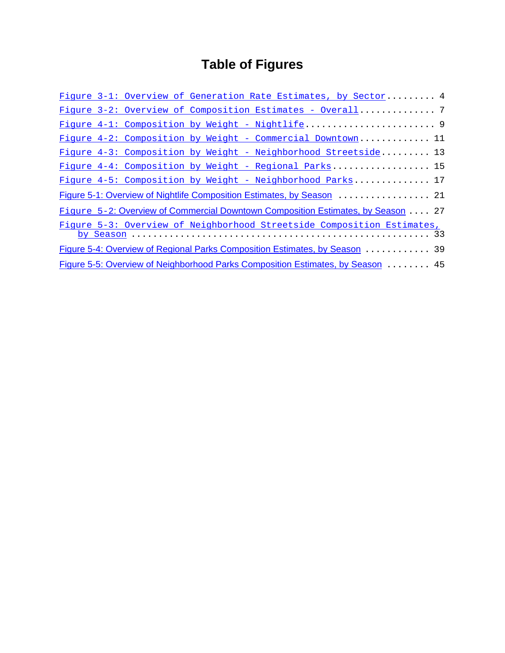# **Table of Figures**

|  |  | Figure 3-1: Overview of Generation Rate Estimates, by Sector 4                  |  |  |
|--|--|---------------------------------------------------------------------------------|--|--|
|  |  | Figure 3-2: Overview of Composition Estimates - Overall 7                       |  |  |
|  |  |                                                                                 |  |  |
|  |  | Figure 4-2: Composition by Weight - Commercial Downtown 11                      |  |  |
|  |  | Figure 4-3: Composition by Weight - Neighborhood Streetside 13                  |  |  |
|  |  | Figure 4-4: Composition by Weight - Regional Parks 15                           |  |  |
|  |  | Figure 4-5: Composition by Weight - Neighborhood Parks 17                       |  |  |
|  |  |                                                                                 |  |  |
|  |  | Figure 5-2: Overview of Commercial Downtown Composition Estimates, by Season 27 |  |  |
|  |  | Figure 5-3: Overview of Neighborhood Streetside Composition Estimates,          |  |  |
|  |  | Figure 5-4: Overview of Regional Parks Composition Estimates, by Season  39     |  |  |
|  |  | Figure 5-5: Overview of Neighborhood Parks Composition Estimates, by Season  45 |  |  |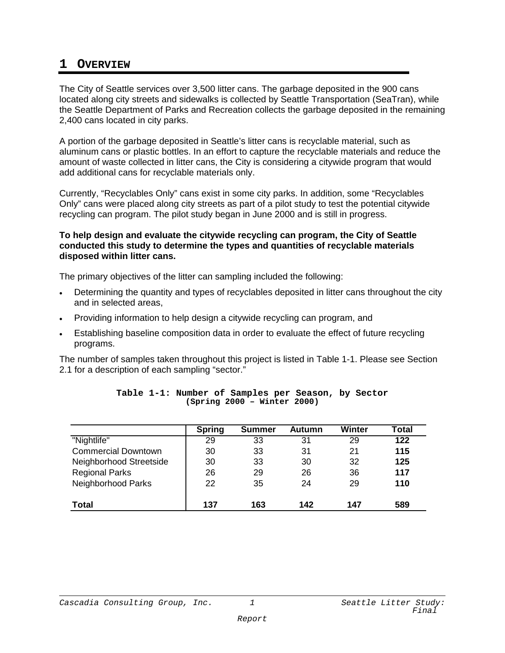### **1 OVERVIEW**

The City of Seattle services over 3,500 litter cans. The garbage deposited in the 900 cans located along city streets and sidewalks is collected by Seattle Transportation (SeaTran), while the Seattle Department of Parks and Recreation collects the garbage deposited in the remaining 2,400 cans located in city parks.

A portion of the garbage deposited in Seattle's litter cans is recyclable material, such as aluminum cans or plastic bottles. In an effort to capture the recyclable materials and reduce the amount of waste collected in litter cans, the City is considering a citywide program that would add additional cans for recyclable materials only.

Currently, "Recyclables Only" cans exist in some city parks. In addition, some "Recyclables Only" cans were placed along city streets as part of a pilot study to test the potential citywide recycling can program. The pilot study began in June 2000 and is still in progress.

#### **To help design and evaluate the citywide recycling can program, the City of Seattle conducted this study to determine the types and quantities of recyclable materials disposed within litter cans.**

The primary objectives of the litter can sampling included the following:

- Determining the quantity and types of recyclables deposited in litter cans throughout the city and in selected areas,
- Providing information to help design a citywide recycling can program, and
- Establishing baseline composition data in order to evaluate the effect of future recycling programs.

The number of samples taken throughout this project is listed in Table 1-1. Please see Section 2.1 for a description of each sampling "sector."

|                            | <b>Spring</b> | <b>Summer</b> | Autumn | Winter | Total |
|----------------------------|---------------|---------------|--------|--------|-------|
| "Nightlife"                | 29            | 33            | 31     | 29     | 122   |
| <b>Commercial Downtown</b> | 30            | 33            | 31     | 21     | 115   |
| Neighborhood Streetside    | 30            | 33            | 30     | 32     | 125   |
| <b>Regional Parks</b>      | 26            | 29            | 26     | 36     | 117   |
| Neighborhood Parks         | 22            | 35            | 24     | 29     | 110   |
| <b>Total</b>               | 137           | 163           | 142    | 147    | 589   |

|  |  |                             | Table 1-1: Number of Samples per Season, by Sector |  |
|--|--|-----------------------------|----------------------------------------------------|--|
|  |  | (Spring 2000 - Winter 2000) |                                                    |  |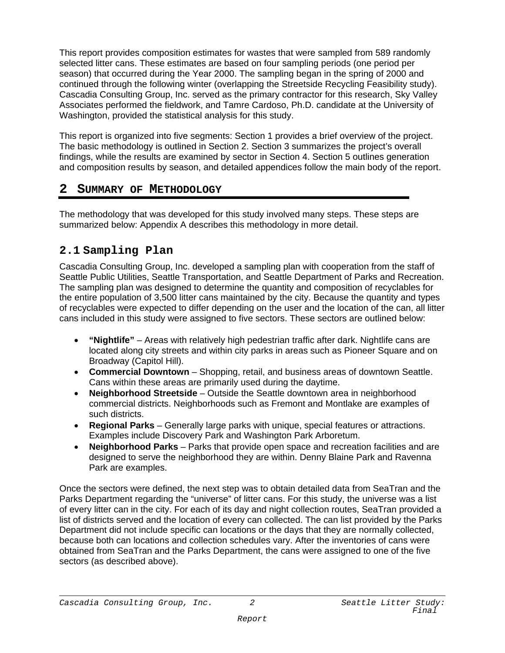This report provides composition estimates for wastes that were sampled from 589 randomly selected litter cans. These estimates are based on four sampling periods (one period per season) that occurred during the Year 2000. The sampling began in the spring of 2000 and continued through the following winter (overlapping the Streetside Recycling Feasibility study). Cascadia Consulting Group, Inc. served as the primary contractor for this research, Sky Valley Associates performed the fieldwork, and Tamre Cardoso, Ph.D. candidate at the University of Washington, provided the statistical analysis for this study.

This report is organized into five segments: Section 1 provides a brief overview of the project. The basic methodology is outlined in Section 2. Section 3 summarizes the project's overall findings, while the results are examined by sector in Section 4. Section 5 outlines generation and composition results by season, and detailed appendices follow the main body of the report.

## **2 SUMMARY OF METHODOLOGY**

The methodology that was developed for this study involved many steps. These steps are summarized below: Appendix A describes this methodology in more detail.

## **2.1 Sampling Plan**

Cascadia Consulting Group, Inc. developed a sampling plan with cooperation from the staff of Seattle Public Utilities, Seattle Transportation, and Seattle Department of Parks and Recreation. The sampling plan was designed to determine the quantity and composition of recyclables for the entire population of 3,500 litter cans maintained by the city. Because the quantity and types of recyclables were expected to differ depending on the user and the location of the can, all litter cans included in this study were assigned to five sectors. These sectors are outlined below:

- **"Nightlife"**  Areas with relatively high pedestrian traffic after dark. Nightlife cans are located along city streets and within city parks in areas such as Pioneer Square and on Broadway (Capitol Hill).
- **Commercial Downtown**  Shopping, retail, and business areas of downtown Seattle. Cans within these areas are primarily used during the daytime.
- **Neighborhood Streetside**  Outside the Seattle downtown area in neighborhood commercial districts. Neighborhoods such as Fremont and Montlake are examples of such districts.
- **Regional Parks**  Generally large parks with unique, special features or attractions. Examples include Discovery Park and Washington Park Arboretum.
- **Neighborhood Parks**  Parks that provide open space and recreation facilities and are designed to serve the neighborhood they are within. Denny Blaine Park and Ravenna Park are examples.

Once the sectors were defined, the next step was to obtain detailed data from SeaTran and the Parks Department regarding the "universe" of litter cans. For this study, the universe was a list of every litter can in the city. For each of its day and night collection routes, SeaTran provided a list of districts served and the location of every can collected. The can list provided by the Parks Department did not include specific can locations or the days that they are normally collected, because both can locations and collection schedules vary. After the inventories of cans were obtained from SeaTran and the Parks Department, the cans were assigned to one of the five sectors (as described above).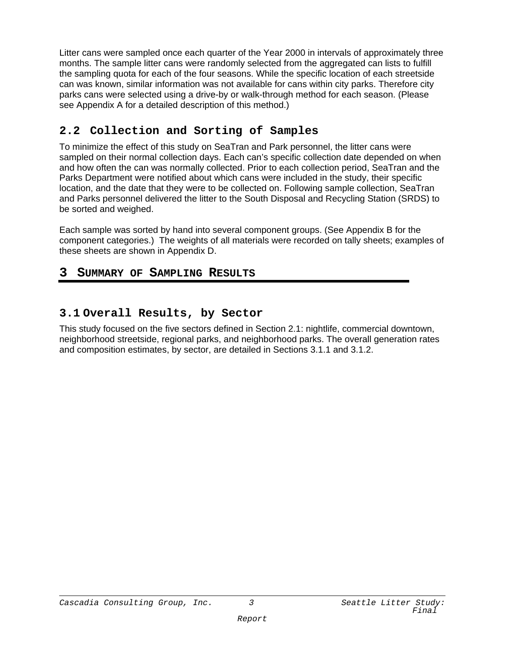Litter cans were sampled once each quarter of the Year 2000 in intervals of approximately three months. The sample litter cans were randomly selected from the aggregated can lists to fulfill the sampling quota for each of the four seasons. While the specific location of each streetside can was known, similar information was not available for cans within city parks. Therefore city parks cans were selected using a drive-by or walk-through method for each season. (Please see Appendix A for a detailed description of this method.)

## **2.2 Collection and Sorting of Samples**

To minimize the effect of this study on SeaTran and Park personnel, the litter cans were sampled on their normal collection days. Each can's specific collection date depended on when and how often the can was normally collected. Prior to each collection period, SeaTran and the Parks Department were notified about which cans were included in the study, their specific location, and the date that they were to be collected on. Following sample collection, SeaTran and Parks personnel delivered the litter to the South Disposal and Recycling Station (SRDS) to be sorted and weighed.

Each sample was sorted by hand into several component groups. (See Appendix B for the component categories.) The weights of all materials were recorded on tally sheets; examples of these sheets are shown in Appendix D.

## **3 SUMMARY OF SAMPLING RESULTS**

## **3.1 Overall Results, by Sector**

This study focused on the five sectors defined in Section 2.1: nightlife, commercial downtown, neighborhood streetside, regional parks, and neighborhood parks. The overall generation rates and composition estimates, by sector, are detailed in Sections 3.1.1 and 3.1.2.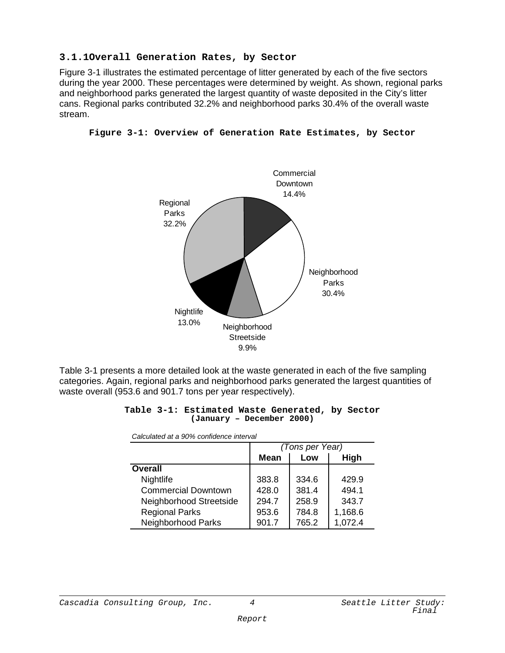#### **3.1.1Overall Generation Rates, by Sector**

Figure 3-1 illustrates the estimated percentage of litter generated by each of the five sectors during the year 2000. These percentages were determined by weight. As shown, regional parks and neighborhood parks generated the largest quantity of waste deposited in the City's litter cans. Regional parks contributed 32.2% and neighborhood parks 30.4% of the overall waste stream.



**Figure 3-1: Overview of Generation Rate Estimates, by Sector**

Table 3-1 presents a more detailed look at the waste generated in each of the five sampling categories. Again, regional parks and neighborhood parks generated the largest quantities of waste overall (953.6 and 901.7 tons per year respectively).

|  |  | Table 3-1: Estimated Waste Generated, by Sector |  |
|--|--|-------------------------------------------------|--|
|  |  | (January - December 2000)                       |  |

|                            | (Tons per Year) |       |         |  |
|----------------------------|-----------------|-------|---------|--|
|                            | <b>Mean</b>     | Low   | High    |  |
| <b>Overall</b>             |                 |       |         |  |
| Nightlife                  | 383.8           | 334.6 | 429.9   |  |
| <b>Commercial Downtown</b> | 428.0           | 381.4 | 494.1   |  |
| Neighborhood Streetside    | 294.7           | 258.9 | 343.7   |  |
| <b>Regional Parks</b>      | 953.6           | 784.8 | 1,168.6 |  |
| Neighborhood Parks         | 901.7           | 765.2 | 1,072.4 |  |

*Calculated at a 90% confidence interval*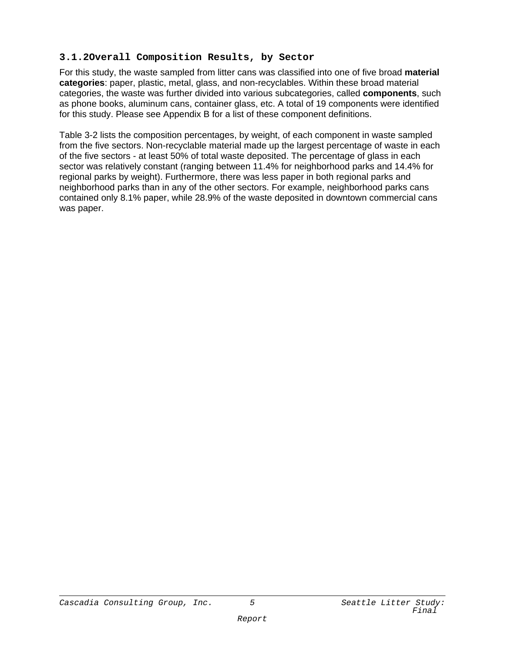#### **3.1.2Overall Composition Results, by Sector**

For this study, the waste sampled from litter cans was classified into one of five broad **material categories**: paper, plastic, metal, glass, and non-recyclables. Within these broad material categories, the waste was further divided into various subcategories, called **components**, such as phone books, aluminum cans, container glass, etc. A total of 19 components were identified for this study. Please see Appendix B for a list of these component definitions.

Table 3-2 lists the composition percentages, by weight, of each component in waste sampled from the five sectors. Non-recyclable material made up the largest percentage of waste in each of the five sectors - at least 50% of total waste deposited. The percentage of glass in each sector was relatively constant (ranging between 11.4% for neighborhood parks and 14.4% for regional parks by weight). Furthermore, there was less paper in both regional parks and neighborhood parks than in any of the other sectors. For example, neighborhood parks cans contained only 8.1% paper, while 28.9% of the waste deposited in downtown commercial cans was paper.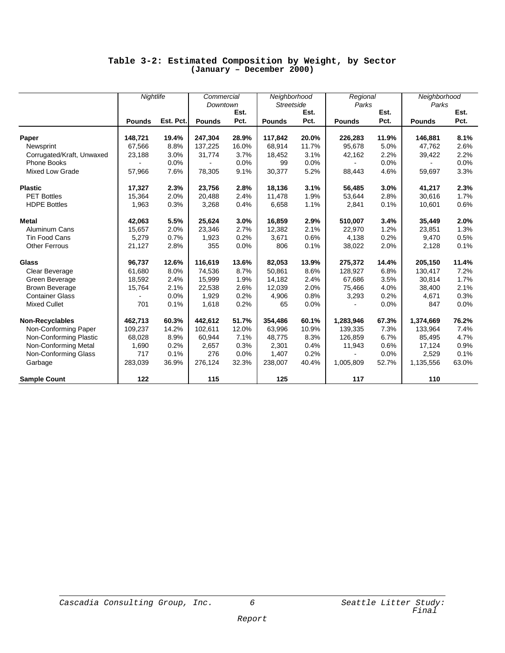#### **Table 3-2: Estimated Composition by Weight, by Sector (January – December 2000)**

|                           | Nightlife     |           | Commercial    |       | Neighborhood      |       | Regional      |       | Neighborhood  |       |
|---------------------------|---------------|-----------|---------------|-------|-------------------|-------|---------------|-------|---------------|-------|
|                           |               |           | Downtown      |       | <b>Streetside</b> |       | Parks         |       | Parks         |       |
|                           |               |           |               | Est.  |                   | Est.  |               | Est.  |               | Est.  |
|                           | <b>Pounds</b> | Est. Pct. | <b>Pounds</b> | Pct.  | <b>Pounds</b>     | Pct.  | <b>Pounds</b> | Pct.  | <b>Pounds</b> | Pct.  |
| Paper                     | 148,721       | 19.4%     | 247,304       | 28.9% | 117,842           | 20.0% | 226,283       | 11.9% | 146,881       | 8.1%  |
| Newsprint                 | 67,566        | 8.8%      | 137,225       | 16.0% | 68,914            | 11.7% | 95,678        | 5.0%  | 47,762        | 2.6%  |
| Corrugated/Kraft, Unwaxed | 23,188        | 3.0%      | 31,774        | 3.7%  | 18.452            | 3.1%  | 42,162        | 2.2%  | 39,422        | 2.2%  |
| <b>Phone Books</b>        |               | 0.0%      |               | 0.0%  | 99                | 0.0%  |               | 0.0%  |               | 0.0%  |
| <b>Mixed Low Grade</b>    | 57,966        | 7.6%      | 78,305        | 9.1%  | 30,377            | 5.2%  | 88,443        | 4.6%  | 59,697        | 3.3%  |
| <b>Plastic</b>            | 17,327        | 2.3%      | 23,756        | 2.8%  | 18,136            | 3.1%  | 56,485        | 3.0%  | 41,217        | 2.3%  |
| <b>PET Bottles</b>        | 15,364        | 2.0%      | 20,488        | 2.4%  | 11,478            | 1.9%  | 53,644        | 2.8%  | 30,616        | 1.7%  |
| <b>HDPE Bottles</b>       | 1,963         | 0.3%      | 3,268         | 0.4%  | 6,658             | 1.1%  | 2,841         | 0.1%  | 10,601        | 0.6%  |
| Metal                     | 42,063        | 5.5%      | 25,624        | 3.0%  | 16,859            | 2.9%  | 510,007       | 3.4%  | 35,449        | 2.0%  |
| Aluminum Cans             | 15,657        | 2.0%      | 23,346        | 2.7%  | 12,382            | 2.1%  | 22,970        | 1.2%  | 23,851        | 1.3%  |
| Tin Food Cans             | 5,279         | 0.7%      | 1,923         | 0.2%  | 3,671             | 0.6%  | 4,138         | 0.2%  | 9,470         | 0.5%  |
| <b>Other Ferrous</b>      | 21,127        | 2.8%      | 355           | 0.0%  | 806               | 0.1%  | 38,022        | 2.0%  | 2,128         | 0.1%  |
| Glass                     | 96,737        | 12.6%     | 116,619       | 13.6% | 82,053            | 13.9% | 275,372       | 14.4% | 205,150       | 11.4% |
| Clear Beverage            | 61.680        | 8.0%      | 74,536        | 8.7%  | 50.861            | 8.6%  | 128.927       | 6.8%  | 130,417       | 7.2%  |
| Green Beverage            | 18,592        | 2.4%      | 15,999        | 1.9%  | 14,182            | 2.4%  | 67,686        | 3.5%  | 30,814        | 1.7%  |
| <b>Brown Beverage</b>     | 15,764        | 2.1%      | 22,538        | 2.6%  | 12,039            | 2.0%  | 75,466        | 4.0%  | 38,400        | 2.1%  |
| <b>Container Glass</b>    |               | 0.0%      | 1,929         | 0.2%  | 4,906             | 0.8%  | 3,293         | 0.2%  | 4,671         | 0.3%  |
| <b>Mixed Cullet</b>       | 701           | 0.1%      | 1,618         | 0.2%  | 65                | 0.0%  |               | 0.0%  | 847           | 0.0%  |
| Non-Recyclables           | 462,713       | 60.3%     | 442,612       | 51.7% | 354,486           | 60.1% | 1,283,946     | 67.3% | 1,374,669     | 76.2% |
| Non-Conforming Paper      | 109,237       | 14.2%     | 102,611       | 12.0% | 63,996            | 10.9% | 139,335       | 7.3%  | 133,964       | 7.4%  |
| Non-Conforming Plastic    | 68,028        | 8.9%      | 60,944        | 7.1%  | 48,775            | 8.3%  | 126,859       | 6.7%  | 85,495        | 4.7%  |
| Non-Conforming Metal      | 1,690         | 0.2%      | 2,657         | 0.3%  | 2,301             | 0.4%  | 11,943        | 0.6%  | 17,124        | 0.9%  |
| Non-Conforming Glass      | 717           | 0.1%      | 276           | 0.0%  | 1.407             | 0.2%  |               | 0.0%  | 2,529         | 0.1%  |
| Garbage                   | 283,039       | 36.9%     | 276,124       | 32.3% | 238,007           | 40.4% | 1,005,809     | 52.7% | 1,135,556     | 63.0% |
| <b>Sample Count</b>       | 122           |           | 115           |       | 125               |       | 117           |       | 110           |       |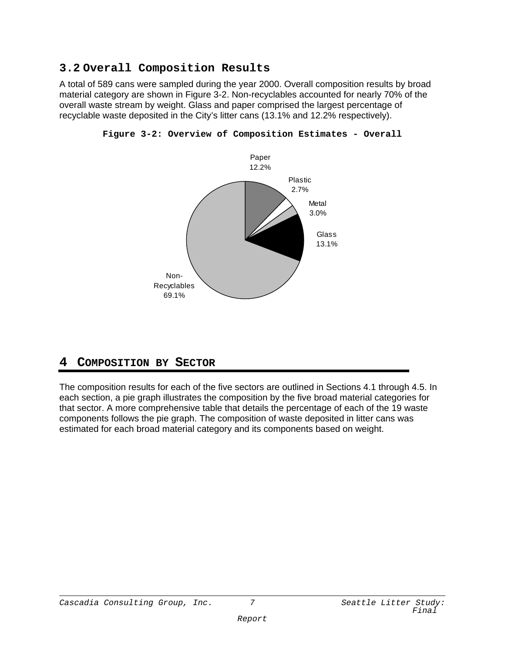## **3.2 Overall Composition Results**

A total of 589 cans were sampled during the year 2000. Overall composition results by broad material category are shown in Figure 3-2. Non-recyclables accounted for nearly 70% of the overall waste stream by weight. Glass and paper comprised the largest percentage of recyclable waste deposited in the City's litter cans (13.1% and 12.2% respectively).



**Figure 3-2: Overview of Composition Estimates - Overall**

## **4 COMPOSITION BY SECTOR**

The composition results for each of the five sectors are outlined in Sections 4.1 through 4.5. In each section, a pie graph illustrates the composition by the five broad material categories for that sector. A more comprehensive table that details the percentage of each of the 19 waste components follows the pie graph. The composition of waste deposited in litter cans was estimated for each broad material category and its components based on weight.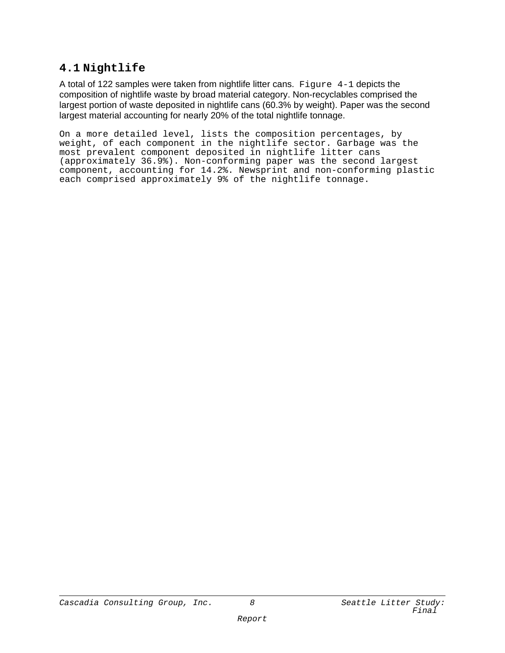## **4.1 Nightlife**

A total of 122 samples were taken from nightlife litter cans. Figure  $4-1$  depicts the composition of nightlife waste by broad material category. Non-recyclables comprised the largest portion of waste deposited in nightlife cans (60.3% by weight). Paper was the second largest material accounting for nearly 20% of the total nightlife tonnage.

On a more detailed level, lists the composition percentages, by weight, of each component in the nightlife sector. Garbage was the most prevalent component deposited in nightlife litter cans (approximately 36.9%). Non-conforming paper was the second largest component, accounting for 14.2%. Newsprint and non-conforming plastic each comprised approximately 9% of the nightlife tonnage.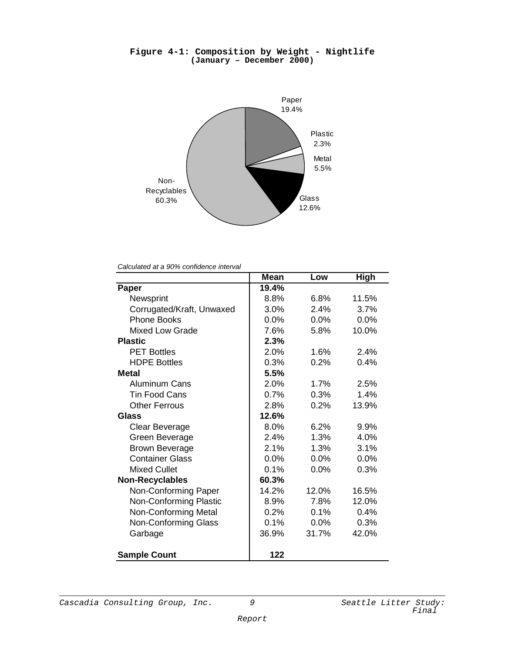

**Figure 4-1: Composition by Weight - Nightlife (January – December 2000)**

*Calculated at a 90% confidence interval*

|                           | <b>Mean</b> | Low   | <b>High</b> |
|---------------------------|-------------|-------|-------------|
| Paper                     | 19.4%       |       |             |
| Newsprint                 | 8.8%        | 6.8%  | 11.5%       |
| Corrugated/Kraft, Unwaxed | 3.0%        | 2.4%  | 3.7%        |
| <b>Phone Books</b>        | $0.0\%$     | 0.0%  | 0.0%        |
| <b>Mixed Low Grade</b>    | 7.6%        | 5.8%  | 10.0%       |
| <b>Plastic</b>            | 2.3%        |       |             |
| <b>PET Bottles</b>        | 2.0%        | 1.6%  | 2.4%        |
| <b>HDPE Bottles</b>       | 0.3%        | 0.2%  | 0.4%        |
| <b>Metal</b>              | 5.5%        |       |             |
| <b>Aluminum Cans</b>      | 2.0%        | 1.7%  | 2.5%        |
| <b>Tin Food Cans</b>      | 0.7%        | 0.3%  | 1.4%        |
| <b>Other Ferrous</b>      | 2.8%        | 0.2%  | 13.9%       |
| Glass                     | 12.6%       |       |             |
| Clear Beverage            | 8.0%        | 6.2%  | 9.9%        |
| Green Beverage            | 2.4%        | 1.3%  | 4.0%        |
| <b>Brown Beverage</b>     | 2.1%        | 1.3%  | 3.1%        |
| <b>Container Glass</b>    | 0.0%        | 0.0%  | $0.0\%$     |
| <b>Mixed Cullet</b>       | 0.1%        | 0.0%  | 0.3%        |
| <b>Non-Recyclables</b>    | 60.3%       |       |             |
| Non-Conforming Paper      | 14.2%       | 12.0% | 16.5%       |
| Non-Conforming Plastic    | 8.9%        | 7.8%  | 12.0%       |
| Non-Conforming Metal      | 0.2%        | 0.1%  | 0.4%        |
| Non-Conforming Glass      | 0.1%        | 0.0%  | 0.3%        |
| Garbage                   | 36.9%       | 31.7% | 42.0%       |
| <b>Sample Count</b>       | 122         |       |             |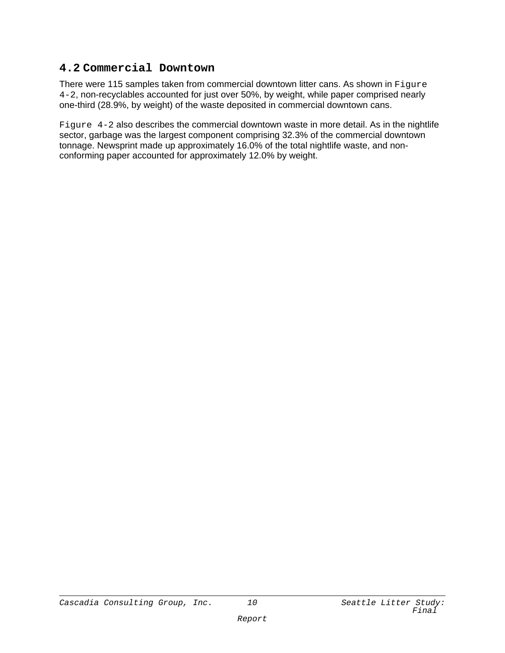## **4.2 Commercial Downtown**

There were 115 samples taken from commercial downtown litter cans. As shown in Figure 4-2, non-recyclables accounted for just over 50%, by weight, while paper comprised nearly one-third (28.9%, by weight) of the waste deposited in commercial downtown cans.

Figure 4-2 also describes the commercial downtown waste in more detail. As in the nightlife sector, garbage was the largest component comprising 32.3% of the commercial downtown tonnage. Newsprint made up approximately 16.0% of the total nightlife waste, and nonconforming paper accounted for approximately 12.0% by weight.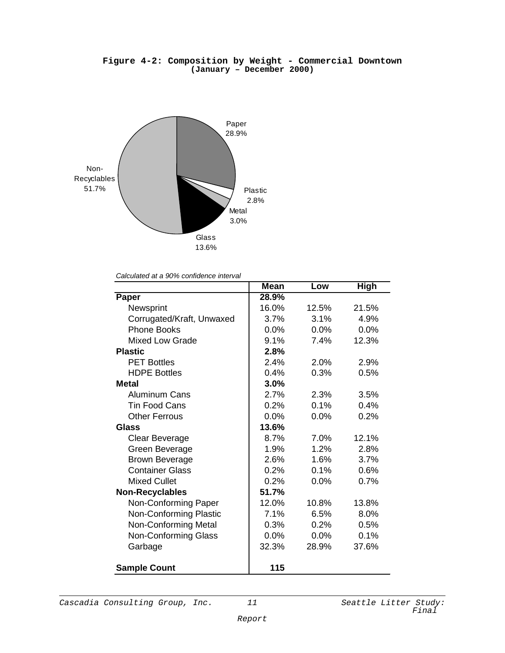#### **Figure 4-2: Composition by Weight - Commercial Downtown (January – December 2000)**



*Calculated at a 90% confidence interval*

|                             | <b>Mean</b> | Low     | High  |
|-----------------------------|-------------|---------|-------|
| Paper                       | 28.9%       |         |       |
| Newsprint                   | 16.0%       | 12.5%   | 21.5% |
| Corrugated/Kraft, Unwaxed   | 3.7%        | 3.1%    | 4.9%  |
| <b>Phone Books</b>          | 0.0%        | 0.0%    | 0.0%  |
| Mixed Low Grade             | 9.1%        | 7.4%    | 12.3% |
| <b>Plastic</b>              | 2.8%        |         |       |
| <b>PET Bottles</b>          | 2.4%        | 2.0%    | 2.9%  |
| <b>HDPE Bottles</b>         | 0.4%        | 0.3%    | 0.5%  |
| <b>Metal</b>                | 3.0%        |         |       |
| <b>Aluminum Cans</b>        | 2.7%        | 2.3%    | 3.5%  |
| <b>Tin Food Cans</b>        | 0.2%        | 0.1%    | 0.4%  |
| <b>Other Ferrous</b>        | 0.0%        | 0.0%    | 0.2%  |
| Glass                       | 13.6%       |         |       |
| Clear Beverage              | 8.7%        | 7.0%    | 12.1% |
| Green Beverage              | 1.9%        | 1.2%    | 2.8%  |
| <b>Brown Beverage</b>       | 2.6%        | 1.6%    | 3.7%  |
| <b>Container Glass</b>      | 0.2%        | 0.1%    | 0.6%  |
| <b>Mixed Cullet</b>         | $0.2\%$     | $0.0\%$ | 0.7%  |
| <b>Non-Recyclables</b>      | 51.7%       |         |       |
| Non-Conforming Paper        | 12.0%       | 10.8%   | 13.8% |
| Non-Conforming Plastic      | 7.1%        | 6.5%    | 8.0%  |
| <b>Non-Conforming Metal</b> | 0.3%        | 0.2%    | 0.5%  |
| <b>Non-Conforming Glass</b> | 0.0%        | 0.0%    | 0.1%  |
| Garbage                     | 32.3%       | 28.9%   | 37.6% |
| <b>Sample Count</b>         | 115         |         |       |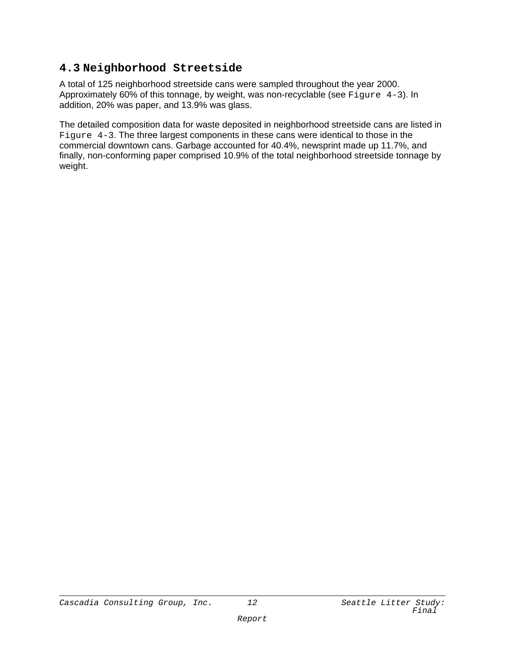## **4.3 Neighborhood Streetside**

A total of 125 neighborhood streetside cans were sampled throughout the year 2000. Approximately 60% of this tonnage, by weight, was non-recyclable (see Figure 4-3). In addition, 20% was paper, and 13.9% was glass.

The detailed composition data for waste deposited in neighborhood streetside cans are listed in Figure 4-3. The three largest components in these cans were identical to those in the commercial downtown cans. Garbage accounted for 40.4%, newsprint made up 11.7%, and finally, non-conforming paper comprised 10.9% of the total neighborhood streetside tonnage by weight.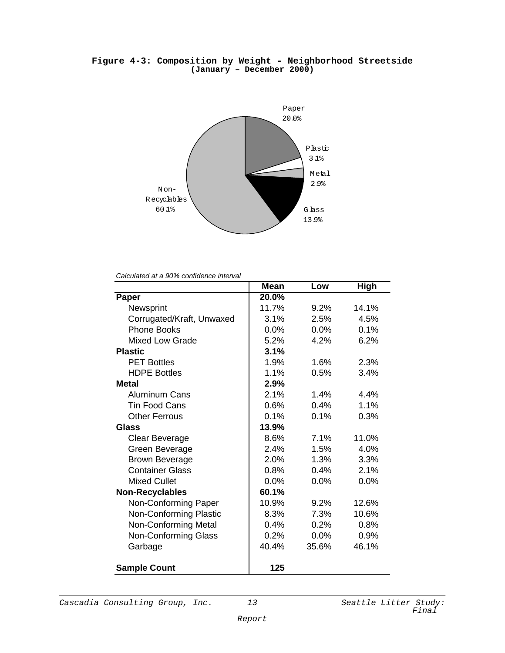#### **Figure 4-3: Composition by Weight - Neighborhood Streetside (January – December 2000)**



*Calculated at a 90% confidence interval*

|                             | <b>Mean</b> | Low     | <b>High</b> |
|-----------------------------|-------------|---------|-------------|
| Paper                       | 20.0%       |         |             |
| Newsprint                   | 11.7%       | 9.2%    | 14.1%       |
| Corrugated/Kraft, Unwaxed   | 3.1%        | 2.5%    | 4.5%        |
| <b>Phone Books</b>          | 0.0%        | 0.0%    | 0.1%        |
| <b>Mixed Low Grade</b>      | 5.2%        | 4.2%    | 6.2%        |
| <b>Plastic</b>              | 3.1%        |         |             |
| <b>PET Bottles</b>          | 1.9%        | 1.6%    | 2.3%        |
| <b>HDPE Bottles</b>         | 1.1%        | 0.5%    | 3.4%        |
| <b>Metal</b>                | 2.9%        |         |             |
| <b>Aluminum Cans</b>        | 2.1%        | 1.4%    | 4.4%        |
| <b>Tin Food Cans</b>        | $0.6\%$     | 0.4%    | 1.1%        |
| <b>Other Ferrous</b>        | 0.1%        | 0.1%    | 0.3%        |
| Glass                       | 13.9%       |         |             |
| Clear Beverage              | 8.6%        | 7.1%    | 11.0%       |
| Green Beverage              | 2.4%        | 1.5%    | 4.0%        |
| <b>Brown Beverage</b>       | 2.0%        | 1.3%    | 3.3%        |
| <b>Container Glass</b>      | 0.8%        | 0.4%    | 2.1%        |
| <b>Mixed Cullet</b>         | $0.0\%$     | $0.0\%$ | $0.0\%$     |
| <b>Non-Recyclables</b>      | 60.1%       |         |             |
| Non-Conforming Paper        | 10.9%       | 9.2%    | 12.6%       |
| Non-Conforming Plastic      | 8.3%        | 7.3%    | 10.6%       |
| <b>Non-Conforming Metal</b> | 0.4%        | 0.2%    | 0.8%        |
| <b>Non-Conforming Glass</b> | 0.2%        | $0.0\%$ | 0.9%        |
| Garbage                     | 40.4%       | 35.6%   | 46.1%       |
| <b>Sample Count</b>         | 125         |         |             |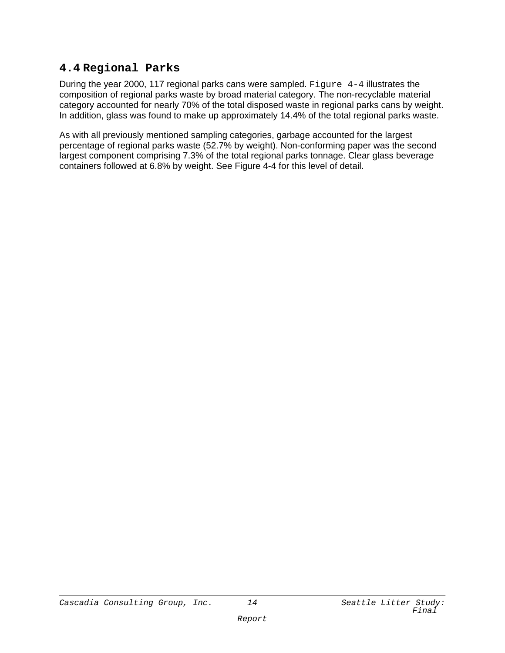## **4.4 Regional Parks**

During the year 2000, 117 regional parks cans were sampled. Figure  $4-4$  illustrates the composition of regional parks waste by broad material category. The non-recyclable material category accounted for nearly 70% of the total disposed waste in regional parks cans by weight. In addition, glass was found to make up approximately 14.4% of the total regional parks waste.

As with all previously mentioned sampling categories, garbage accounted for the largest percentage of regional parks waste (52.7% by weight). Non-conforming paper was the second largest component comprising 7.3% of the total regional parks tonnage. Clear glass beverage containers followed at 6.8% by weight. See Figure 4-4 for this level of detail.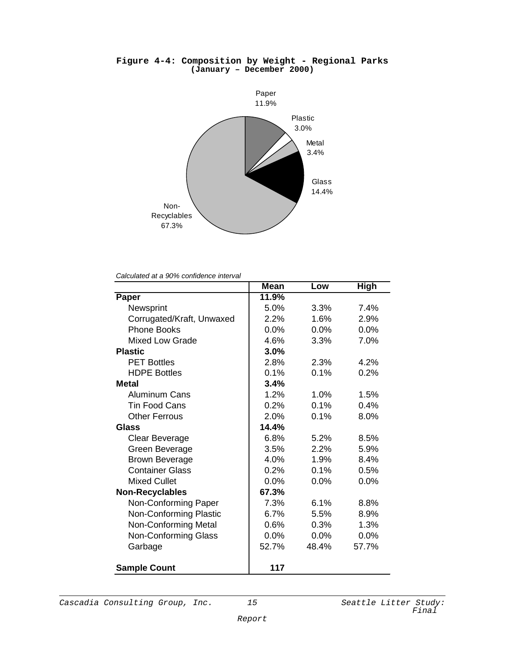

#### **Figure 4-4: Composition by Weight - Regional Parks (January – December 2000)**

*Calculated at a 90% confidence interval*

|                             | <b>Mean</b> | Low     | <b>High</b> |
|-----------------------------|-------------|---------|-------------|
| Paper                       | 11.9%       |         |             |
| Newsprint                   | 5.0%        | 3.3%    | 7.4%        |
| Corrugated/Kraft, Unwaxed   | 2.2%        | 1.6%    | 2.9%        |
| <b>Phone Books</b>          | $0.0\%$     | 0.0%    | 0.0%        |
| <b>Mixed Low Grade</b>      | 4.6%        | 3.3%    | 7.0%        |
| <b>Plastic</b>              | 3.0%        |         |             |
| <b>PET Bottles</b>          | 2.8%        | 2.3%    | 4.2%        |
| <b>HDPE Bottles</b>         | 0.1%        | 0.1%    | 0.2%        |
| <b>Metal</b>                | 3.4%        |         |             |
| <b>Aluminum Cans</b>        | 1.2%        | 1.0%    | 1.5%        |
| <b>Tin Food Cans</b>        | 0.2%        | 0.1%    | 0.4%        |
| <b>Other Ferrous</b>        | 2.0%        | 0.1%    | 8.0%        |
| Glass                       | 14.4%       |         |             |
| <b>Clear Beverage</b>       | 6.8%        | 5.2%    | 8.5%        |
| Green Beverage              | 3.5%        | 2.2%    | 5.9%        |
| <b>Brown Beverage</b>       | 4.0%        | 1.9%    | 8.4%        |
| <b>Container Glass</b>      | 0.2%        | 0.1%    | 0.5%        |
| <b>Mixed Cullet</b>         | 0.0%        | 0.0%    | 0.0%        |
| <b>Non-Recyclables</b>      | 67.3%       |         |             |
| Non-Conforming Paper        | 7.3%        | 6.1%    | 8.8%        |
| Non-Conforming Plastic      | 6.7%        | 5.5%    | 8.9%        |
| Non-Conforming Metal        | 0.6%        | 0.3%    | 1.3%        |
| <b>Non-Conforming Glass</b> | 0.0%        | $0.0\%$ | $0.0\%$     |
| Garbage                     | 52.7%       | 48.4%   | 57.7%       |
| <b>Sample Count</b>         | 117         |         |             |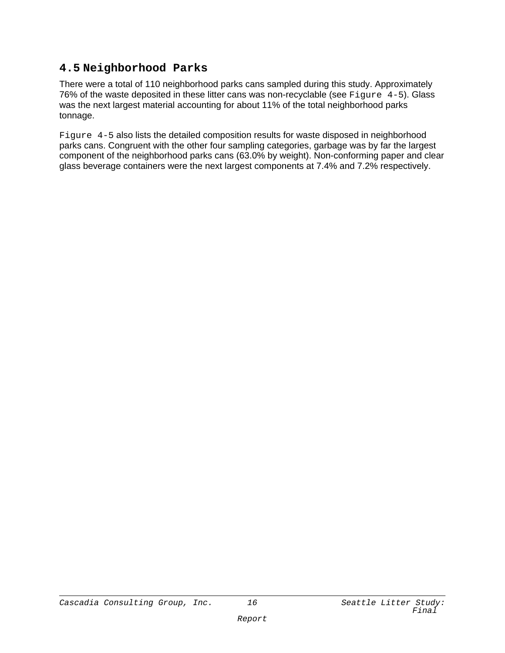## **4.5 Neighborhood Parks**

There were a total of 110 neighborhood parks cans sampled during this study. Approximately 76% of the waste deposited in these litter cans was non-recyclable (see Figure 4-5). Glass was the next largest material accounting for about 11% of the total neighborhood parks tonnage.

Figure 4-5 also lists the detailed composition results for waste disposed in neighborhood parks cans. Congruent with the other four sampling categories, garbage was by far the largest component of the neighborhood parks cans (63.0% by weight). Non-conforming paper and clear glass beverage containers were the next largest components at 7.4% and 7.2% respectively.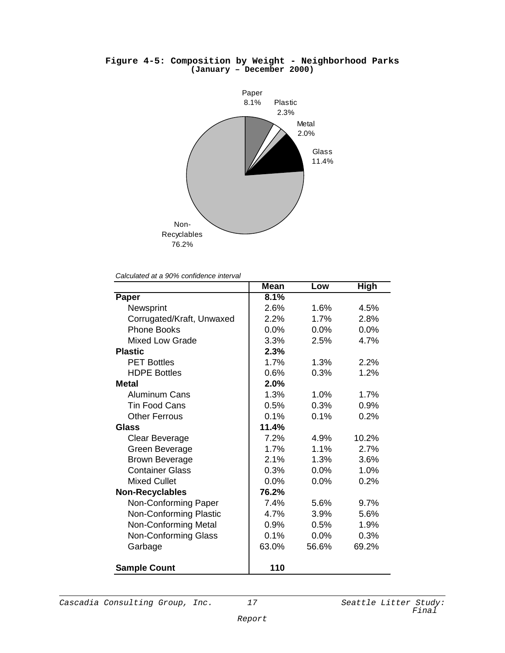

#### **Figure 4-5: Composition by Weight - Neighborhood Parks (January – December 2000)**

*Calculated at a 90% confidence interval*

|                             | <b>Mean</b> | Low   | <b>High</b> |
|-----------------------------|-------------|-------|-------------|
| Paper                       | 8.1%        |       |             |
| Newsprint                   | 2.6%        | 1.6%  | 4.5%        |
| Corrugated/Kraft, Unwaxed   | 2.2%        | 1.7%  | 2.8%        |
| <b>Phone Books</b>          | $0.0\%$     | 0.0%  | 0.0%        |
| <b>Mixed Low Grade</b>      | 3.3%        | 2.5%  | 4.7%        |
| <b>Plastic</b>              | 2.3%        |       |             |
| <b>PET Bottles</b>          | 1.7%        | 1.3%  | 2.2%        |
| <b>HDPE Bottles</b>         | 0.6%        | 0.3%  | 1.2%        |
| <b>Metal</b>                | 2.0%        |       |             |
| <b>Aluminum Cans</b>        | 1.3%        | 1.0%  | 1.7%        |
| <b>Tin Food Cans</b>        | 0.5%        | 0.3%  | 0.9%        |
| <b>Other Ferrous</b>        | 0.1%        | 0.1%  | 0.2%        |
| Glass                       | 11.4%       |       |             |
| <b>Clear Beverage</b>       | 7.2%        | 4.9%  | 10.2%       |
| Green Beverage              | 1.7%        | 1.1%  | 2.7%        |
| <b>Brown Beverage</b>       | 2.1%        | 1.3%  | 3.6%        |
| <b>Container Glass</b>      | 0.3%        | 0.0%  | 1.0%        |
| <b>Mixed Cullet</b>         | 0.0%        | 0.0%  | 0.2%        |
| <b>Non-Recyclables</b>      | 76.2%       |       |             |
| Non-Conforming Paper        | 7.4%        | 5.6%  | 9.7%        |
| Non-Conforming Plastic      | 4.7%        | 3.9%  | 5.6%        |
| Non-Conforming Metal        | 0.9%        | 0.5%  | 1.9%        |
| <b>Non-Conforming Glass</b> | 0.1%        | 0.0%  | 0.3%        |
| Garbage                     | 63.0%       | 56.6% | 69.2%       |
| <b>Sample Count</b>         | 110         |       |             |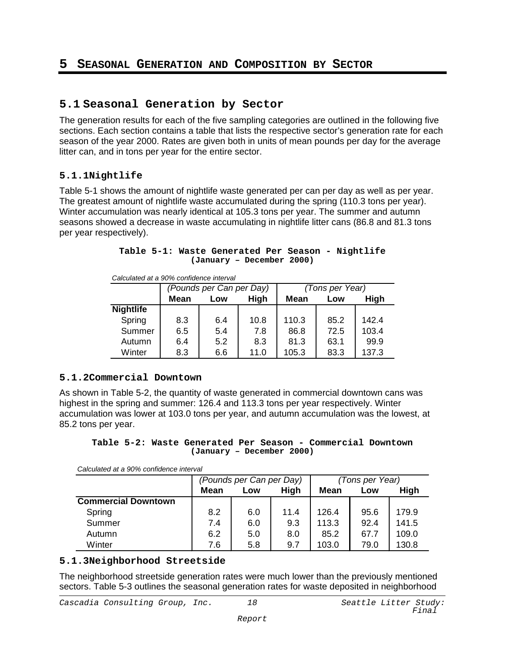## **5 SEASONAL GENERATION AND COMPOSITION BY SECTOR**

### **5.1 Seasonal Generation by Sector**

The generation results for each of the five sampling categories are outlined in the following five sections. Each section contains a table that lists the respective sector's generation rate for each season of the year 2000. Rates are given both in units of mean pounds per day for the average litter can, and in tons per year for the entire sector.

#### **5.1.1Nightlife**

Table 5-1 shows the amount of nightlife waste generated per can per day as well as per year. The greatest amount of nightlife waste accumulated during the spring (110.3 tons per year). Winter accumulation was nearly identical at 105.3 tons per year. The summer and autumn seasons showed a decrease in waste accumulating in nightlife litter cans (86.8 and 81.3 tons per year respectively).

#### **Table 5-1: Waste Generated Per Season - Nightlife (January – December 2000)**

*Calculated at a 90% confidence interval*

|                  | (Pounds per Can per Day) |     |      | (Tons per Year) |      |       |  |
|------------------|--------------------------|-----|------|-----------------|------|-------|--|
|                  | <b>Mean</b>              | Low | High | <b>Mean</b>     | Low  | High  |  |
| <b>Nightlife</b> |                          |     |      |                 |      |       |  |
| Spring           | 8.3                      | 6.4 | 10.8 | 110.3           | 85.2 | 1424  |  |
| Summer           | 6.5                      | 5.4 | 7.8  | 86.8            | 72.5 | 103.4 |  |
| Autumn           | 6.4                      | 5.2 | 8.3  | 81.3            | 63.1 | 99.9  |  |
| Winter           | 8.3                      | 6.6 | 11.0 | 105.3           | 83.3 | 137.3 |  |

#### **5.1.2Commercial Downtown**

As shown in Table 5-2, the quantity of waste generated in commercial downtown cans was highest in the spring and summer: 126.4 and 113.3 tons per year respectively. Winter accumulation was lower at 103.0 tons per year, and autumn accumulation was the lowest, at 85.2 tons per year.

|  |                           |  | Table 5-2: Waste Generated Per Season - Commercial Downtown |  |
|--|---------------------------|--|-------------------------------------------------------------|--|
|  | (January - December 2000) |  |                                                             |  |

*Calculated at a 90% confidence interval*

|                            |      | (Pounds per Can per Day) |      | (Tons per Year) |      |       |  |
|----------------------------|------|--------------------------|------|-----------------|------|-------|--|
|                            | Mean | <b>High</b><br>Low       |      | <b>Mean</b>     | Low  | High  |  |
| <b>Commercial Downtown</b> |      |                          |      |                 |      |       |  |
| Spring                     | 8.2  | 6.0                      | 11.4 | 126.4           | 95.6 | 179.9 |  |
| Summer                     | 7.4  | 6.0                      | 9.3  | 113.3           | 92.4 | 141.5 |  |
| Autumn                     | 6.2  | 5.0                      | 8.0  | 85.2            | 67.7 | 109.0 |  |
| Winter                     | 7.6  | 5.8                      | 9.7  | 103.0           | 79.0 | 130.8 |  |

#### **5.1.3Neighborhood Streetside**

The neighborhood streetside generation rates were much lower than the previously mentioned sectors. Table 5-3 outlines the seasonal generation rates for waste deposited in neighborhood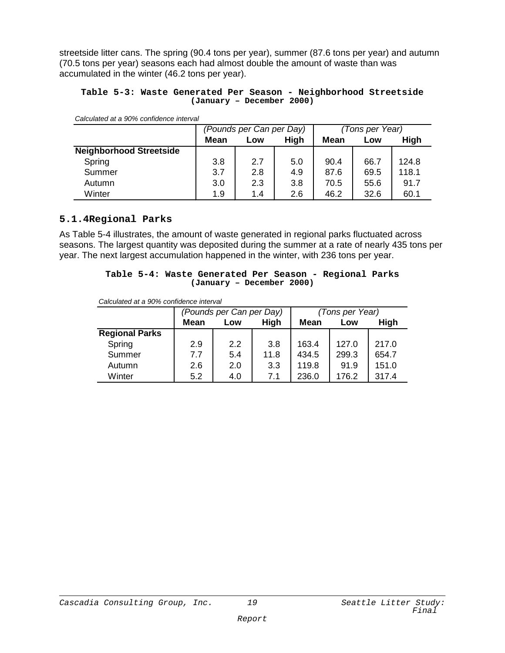streetside litter cans. The spring (90.4 tons per year), summer (87.6 tons per year) and autumn (70.5 tons per year) seasons each had almost double the amount of waste than was accumulated in the winter (46.2 tons per year).

#### **Table 5-3: Waste Generated Per Season - Neighborhood Streetside (January – December 2000)**

| Calculated at a 90% confidence interval |  |  |
|-----------------------------------------|--|--|
|                                         |  |  |

|                                |      | (Pounds per Can per Day) |      | (Tons per Year) |      |       |
|--------------------------------|------|--------------------------|------|-----------------|------|-------|
|                                | Mean | Low                      | High | <b>Mean</b>     | Low  | High  |
| <b>Neighborhood Streetside</b> |      |                          |      |                 |      |       |
| Spring                         | 3.8  | 2.7                      | 5.0  | 90.4            | 66.7 | 124.8 |
| Summer                         | 3.7  | 2.8                      | 4.9  | 87.6            | 69.5 | 118.1 |
| Autumn                         | 3.0  | 2.3                      | 3.8  | 70.5            | 55.6 | 91.7  |
| Winter                         | 1.9  | 1.4                      | 2.6  | 46.2            | 32.6 | 60.1  |

#### **5.1.4Regional Parks**

As Table 5-4 illustrates, the amount of waste generated in regional parks fluctuated across seasons. The largest quantity was deposited during the summer at a rate of nearly 435 tons per year. The next largest accumulation happened in the winter, with 236 tons per year.

|  | Table 5-4: Waste Generated Per Season - Regional Parks |  |  |  |
|--|--------------------------------------------------------|--|--|--|
|  | (January - December 2000)                              |  |  |  |

|                       |             | (Pounds per Can per Day) |      | (Tons per Year) |       |       |
|-----------------------|-------------|--------------------------|------|-----------------|-------|-------|
|                       | <b>Mean</b> | Low                      | High | <b>Mean</b>     | Low   | High  |
| <b>Regional Parks</b> |             |                          |      |                 |       |       |
| Spring                | 2.9         | 2.2                      | 3.8  | 163.4           | 127.0 | 217.0 |
| Summer                | 7.7         | 5.4                      | 11.8 | 434.5           | 299.3 | 654.7 |
| Autumn                | 2.6         | 2.0                      | 3.3  | 119.8           | 91.9  | 151.0 |
| Winter                | 5.2         | 4.0                      | 7.1  | 236.0           | 176.2 | 317.4 |

*Calculated at a 90% confidence interval*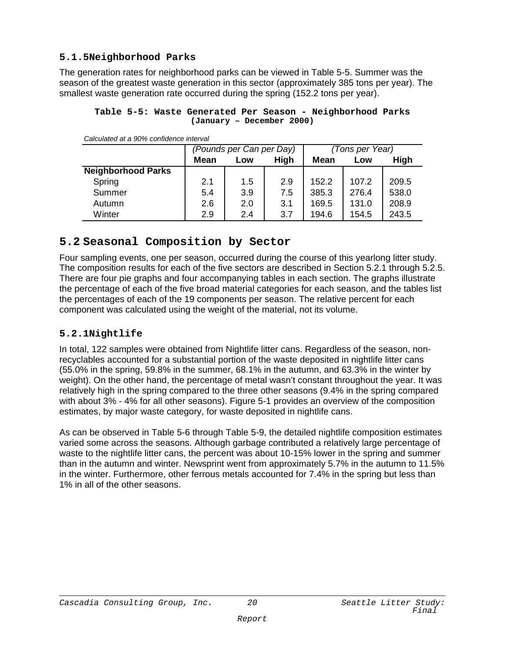#### **5.1.5Neighborhood Parks**

The generation rates for neighborhood parks can be viewed in Table 5-5. Summer was the season of the greatest waste generation in this sector (approximately 385 tons per year). The smallest waste generation rate occurred during the spring (152.2 tons per year).

#### **Table 5-5: Waste Generated Per Season - Neighborhood Parks (January – December 2000)**

|                           |             | (Pounds per Can per Day) |      | (Tons per Year) |       |       |
|---------------------------|-------------|--------------------------|------|-----------------|-------|-------|
|                           | <b>Mean</b> | Low                      | High | Mean            | Low   | High  |
| <b>Neighborhood Parks</b> |             |                          |      |                 |       |       |
| Spring                    | 2.1         | 1.5                      | 2.9  | 152.2           | 107.2 | 209.5 |
| Summer                    | 5.4         | 3.9                      | 7.5  | 385.3           | 276.4 | 538.0 |
| Autumn                    | 2.6         | 2.0                      | 3.1  | 169.5           | 131.0 | 208.9 |
| Winter                    | 2.9         | 2.4                      | 3.7  | 194.6           | 154.5 | 243.5 |

*Calculated at a 90% confidence interval*

### **5.2 Seasonal Composition by Sector**

Four sampling events, one per season, occurred during the course of this yearlong litter study. The composition results for each of the five sectors are described in Section 5.2.1 through 5.2.5. There are four pie graphs and four accompanying tables in each section. The graphs illustrate the percentage of each of the five broad material categories for each season, and the tables list the percentages of each of the 19 components per season. The relative percent for each component was calculated using the weight of the material, not its volume.

#### **5.2.1Nightlife**

In total, 122 samples were obtained from Nightlife litter cans. Regardless of the season, nonrecyclables accounted for a substantial portion of the waste deposited in nightlife litter cans (55.0% in the spring, 59.8% in the summer, 68.1% in the autumn, and 63.3% in the winter by weight). On the other hand, the percentage of metal wasn't constant throughout the year. It was relatively high in the spring compared to the three other seasons (9.4% in the spring compared with about 3% - 4% for all other seasons). Figure 5-1 provides an overview of the composition estimates, by major waste category, for waste deposited in nightlife cans.

As can be observed in Table 5-6 through Table 5-9, the detailed nightlife composition estimates varied some across the seasons. Although garbage contributed a relatively large percentage of waste to the nightlife litter cans, the percent was about 10-15% lower in the spring and summer than in the autumn and winter. Newsprint went from approximately 5.7% in the autumn to 11.5% in the winter. Furthermore, other ferrous metals accounted for 7.4% in the spring but less than 1% in all of the other seasons.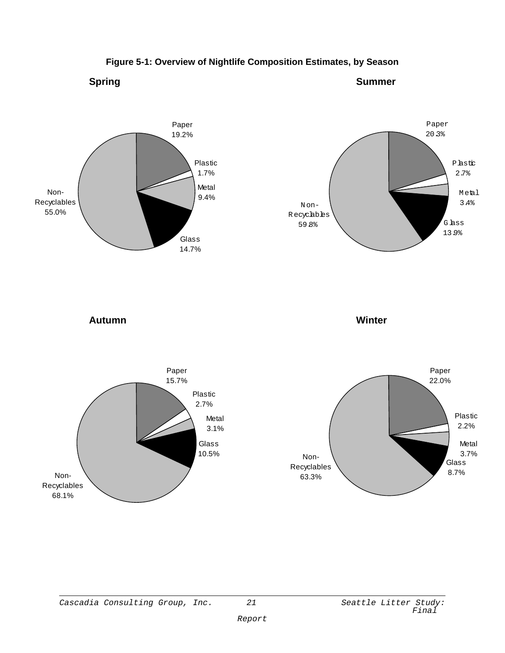

#### **Figure 5-1: Overview of Nightlife Composition Estimates, by Season**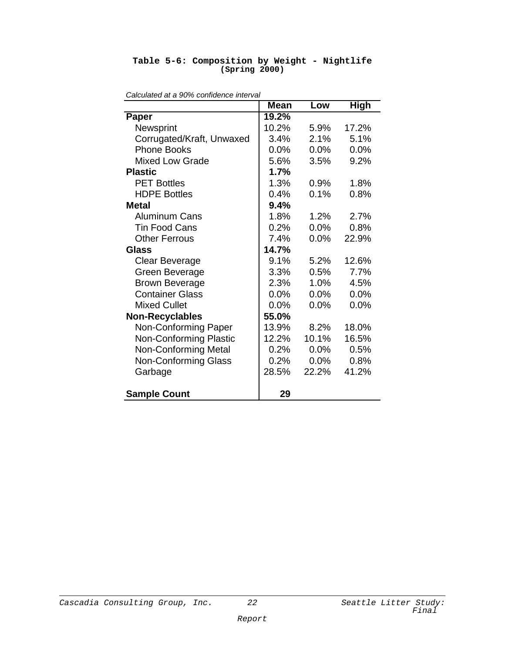#### **Table 5-6: Composition by Weight - Nightlife (Spring 2000)**

|                               | <b>Mean</b> | Low     | <b>High</b> |
|-------------------------------|-------------|---------|-------------|
| Paper                         | 19.2%       |         |             |
| Newsprint                     | 10.2%       | 5.9%    | 17.2%       |
| Corrugated/Kraft, Unwaxed     | 3.4%        | 2.1%    | 5.1%        |
| <b>Phone Books</b>            | 0.0%        | 0.0%    | 0.0%        |
| <b>Mixed Low Grade</b>        | 5.6%        | 3.5%    | 9.2%        |
| <b>Plastic</b>                | 1.7%        |         |             |
| <b>PET Bottles</b>            | 1.3%        | 0.9%    | 1.8%        |
| <b>HDPE Bottles</b>           | 0.4%        | 0.1%    | 0.8%        |
| Metal                         | 9.4%        |         |             |
| <b>Aluminum Cans</b>          | 1.8%        | 1.2%    | 2.7%        |
| <b>Tin Food Cans</b>          | 0.2%        | 0.0%    | 0.8%        |
| <b>Other Ferrous</b>          | 7.4%        | 0.0%    | 22.9%       |
| Glass                         | 14.7%       |         |             |
| <b>Clear Beverage</b>         | 9.1%        | 5.2%    | 12.6%       |
| Green Beverage                | 3.3%        | 0.5%    | 7.7%        |
| <b>Brown Beverage</b>         | 2.3%        | 1.0%    | 4.5%        |
| <b>Container Glass</b>        | 0.0%        | 0.0%    | 0.0%        |
| <b>Mixed Cullet</b>           | 0.0%        | $0.0\%$ | 0.0%        |
| <b>Non-Recyclables</b>        | 55.0%       |         |             |
| Non-Conforming Paper          | 13.9%       | 8.2%    | 18.0%       |
| <b>Non-Conforming Plastic</b> | 12.2%       | 10.1%   | 16.5%       |
| <b>Non-Conforming Metal</b>   | 0.2%        | 0.0%    | 0.5%        |
| <b>Non-Conforming Glass</b>   | 0.2%        | 0.0%    | 0.8%        |
| Garbage                       | 28.5%       | 22.2%   | 41.2%       |
| <b>Sample Count</b>           | 29          |         |             |

*Calculated at a 90% confidence interval*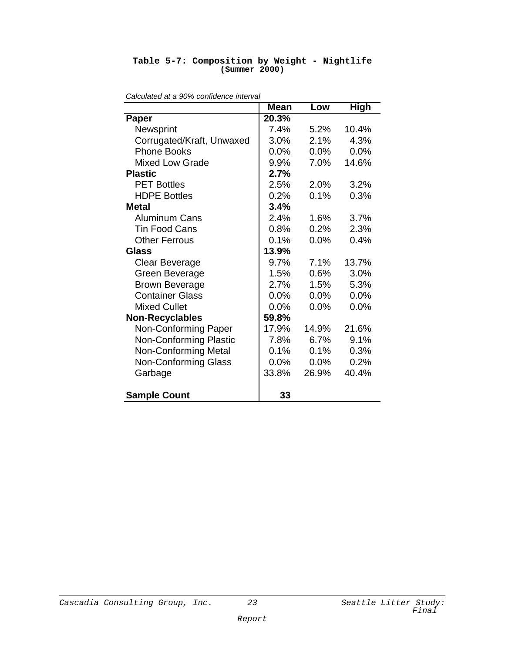| <b>Mean</b><br><b>High</b><br>Low<br>20.3%<br>Paper<br>Newsprint<br>7.4%<br>5.2%<br>10.4%<br>Corrugated/Kraft, Unwaxed<br>3.0%<br>2.1%<br>4.3%<br><b>Phone Books</b><br>0.0%<br>0.0%<br>0.0%<br><b>Mixed Low Grade</b><br>14.6%<br>9.9%<br>7.0%<br><b>Plastic</b><br>2.7%<br><b>PET Bottles</b><br>2.5%<br>2.0%<br>3.2%<br><b>HDPE Bottles</b><br>0.2%<br>0.1%<br>0.3%<br>3.4%<br>Metal<br><b>Aluminum Cans</b><br>2.4%<br>3.7%<br>$1.6\%$<br>0.2%<br><b>Tin Food Cans</b><br>0.8%<br>2.3%<br>0.1%<br>0.0%<br><b>Other Ferrous</b><br>0.4%<br>13.9%<br><b>Glass</b><br>9.7%<br>$7.1\%$<br>13.7%<br>Clear Beverage<br>Green Beverage<br>1.5%<br>0.6%<br>3.0%<br><b>Brown Beverage</b><br>2.7%<br>5.3%<br>1.5%<br><b>Container Glass</b><br>0.0%<br>0.0%<br>0.0%<br><b>Mixed Cullet</b><br>0.0%<br>0.0%<br>0.0%<br>59.8%<br><b>Non-Recyclables</b><br>Non-Conforming Paper<br>17.9%<br>14.9%<br>21.6%<br><b>Non-Conforming Plastic</b><br>6.7%<br>9.1%<br>7.8%<br><b>Non-Conforming Metal</b><br>0.1%<br>0.3%<br>0.1%<br><b>Non-Conforming Glass</b><br>0.2%<br>0.0%<br>0.0%<br>33.8%<br>26.9%<br>40.4%<br>Garbage | Calculated at a 90% confidence interval |    |  |  |  |  |  |
|------------------------------------------------------------------------------------------------------------------------------------------------------------------------------------------------------------------------------------------------------------------------------------------------------------------------------------------------------------------------------------------------------------------------------------------------------------------------------------------------------------------------------------------------------------------------------------------------------------------------------------------------------------------------------------------------------------------------------------------------------------------------------------------------------------------------------------------------------------------------------------------------------------------------------------------------------------------------------------------------------------------------------------------------------------------------------------------------------------------|-----------------------------------------|----|--|--|--|--|--|
|                                                                                                                                                                                                                                                                                                                                                                                                                                                                                                                                                                                                                                                                                                                                                                                                                                                                                                                                                                                                                                                                                                                  |                                         |    |  |  |  |  |  |
|                                                                                                                                                                                                                                                                                                                                                                                                                                                                                                                                                                                                                                                                                                                                                                                                                                                                                                                                                                                                                                                                                                                  |                                         |    |  |  |  |  |  |
|                                                                                                                                                                                                                                                                                                                                                                                                                                                                                                                                                                                                                                                                                                                                                                                                                                                                                                                                                                                                                                                                                                                  |                                         |    |  |  |  |  |  |
|                                                                                                                                                                                                                                                                                                                                                                                                                                                                                                                                                                                                                                                                                                                                                                                                                                                                                                                                                                                                                                                                                                                  |                                         |    |  |  |  |  |  |
|                                                                                                                                                                                                                                                                                                                                                                                                                                                                                                                                                                                                                                                                                                                                                                                                                                                                                                                                                                                                                                                                                                                  |                                         |    |  |  |  |  |  |
|                                                                                                                                                                                                                                                                                                                                                                                                                                                                                                                                                                                                                                                                                                                                                                                                                                                                                                                                                                                                                                                                                                                  |                                         |    |  |  |  |  |  |
|                                                                                                                                                                                                                                                                                                                                                                                                                                                                                                                                                                                                                                                                                                                                                                                                                                                                                                                                                                                                                                                                                                                  |                                         |    |  |  |  |  |  |
|                                                                                                                                                                                                                                                                                                                                                                                                                                                                                                                                                                                                                                                                                                                                                                                                                                                                                                                                                                                                                                                                                                                  |                                         |    |  |  |  |  |  |
|                                                                                                                                                                                                                                                                                                                                                                                                                                                                                                                                                                                                                                                                                                                                                                                                                                                                                                                                                                                                                                                                                                                  |                                         |    |  |  |  |  |  |
|                                                                                                                                                                                                                                                                                                                                                                                                                                                                                                                                                                                                                                                                                                                                                                                                                                                                                                                                                                                                                                                                                                                  |                                         |    |  |  |  |  |  |
|                                                                                                                                                                                                                                                                                                                                                                                                                                                                                                                                                                                                                                                                                                                                                                                                                                                                                                                                                                                                                                                                                                                  |                                         |    |  |  |  |  |  |
|                                                                                                                                                                                                                                                                                                                                                                                                                                                                                                                                                                                                                                                                                                                                                                                                                                                                                                                                                                                                                                                                                                                  |                                         |    |  |  |  |  |  |
|                                                                                                                                                                                                                                                                                                                                                                                                                                                                                                                                                                                                                                                                                                                                                                                                                                                                                                                                                                                                                                                                                                                  |                                         |    |  |  |  |  |  |
|                                                                                                                                                                                                                                                                                                                                                                                                                                                                                                                                                                                                                                                                                                                                                                                                                                                                                                                                                                                                                                                                                                                  |                                         |    |  |  |  |  |  |
|                                                                                                                                                                                                                                                                                                                                                                                                                                                                                                                                                                                                                                                                                                                                                                                                                                                                                                                                                                                                                                                                                                                  |                                         |    |  |  |  |  |  |
|                                                                                                                                                                                                                                                                                                                                                                                                                                                                                                                                                                                                                                                                                                                                                                                                                                                                                                                                                                                                                                                                                                                  |                                         |    |  |  |  |  |  |
|                                                                                                                                                                                                                                                                                                                                                                                                                                                                                                                                                                                                                                                                                                                                                                                                                                                                                                                                                                                                                                                                                                                  |                                         |    |  |  |  |  |  |
|                                                                                                                                                                                                                                                                                                                                                                                                                                                                                                                                                                                                                                                                                                                                                                                                                                                                                                                                                                                                                                                                                                                  |                                         |    |  |  |  |  |  |
|                                                                                                                                                                                                                                                                                                                                                                                                                                                                                                                                                                                                                                                                                                                                                                                                                                                                                                                                                                                                                                                                                                                  |                                         |    |  |  |  |  |  |
|                                                                                                                                                                                                                                                                                                                                                                                                                                                                                                                                                                                                                                                                                                                                                                                                                                                                                                                                                                                                                                                                                                                  |                                         |    |  |  |  |  |  |
|                                                                                                                                                                                                                                                                                                                                                                                                                                                                                                                                                                                                                                                                                                                                                                                                                                                                                                                                                                                                                                                                                                                  |                                         |    |  |  |  |  |  |
|                                                                                                                                                                                                                                                                                                                                                                                                                                                                                                                                                                                                                                                                                                                                                                                                                                                                                                                                                                                                                                                                                                                  |                                         |    |  |  |  |  |  |
|                                                                                                                                                                                                                                                                                                                                                                                                                                                                                                                                                                                                                                                                                                                                                                                                                                                                                                                                                                                                                                                                                                                  |                                         |    |  |  |  |  |  |
|                                                                                                                                                                                                                                                                                                                                                                                                                                                                                                                                                                                                                                                                                                                                                                                                                                                                                                                                                                                                                                                                                                                  |                                         |    |  |  |  |  |  |
|                                                                                                                                                                                                                                                                                                                                                                                                                                                                                                                                                                                                                                                                                                                                                                                                                                                                                                                                                                                                                                                                                                                  |                                         |    |  |  |  |  |  |
|                                                                                                                                                                                                                                                                                                                                                                                                                                                                                                                                                                                                                                                                                                                                                                                                                                                                                                                                                                                                                                                                                                                  |                                         |    |  |  |  |  |  |
|                                                                                                                                                                                                                                                                                                                                                                                                                                                                                                                                                                                                                                                                                                                                                                                                                                                                                                                                                                                                                                                                                                                  | <b>Sample Count</b>                     | 33 |  |  |  |  |  |

**Table 5-7: Composition by Weight - Nightlife (Summer 2000)**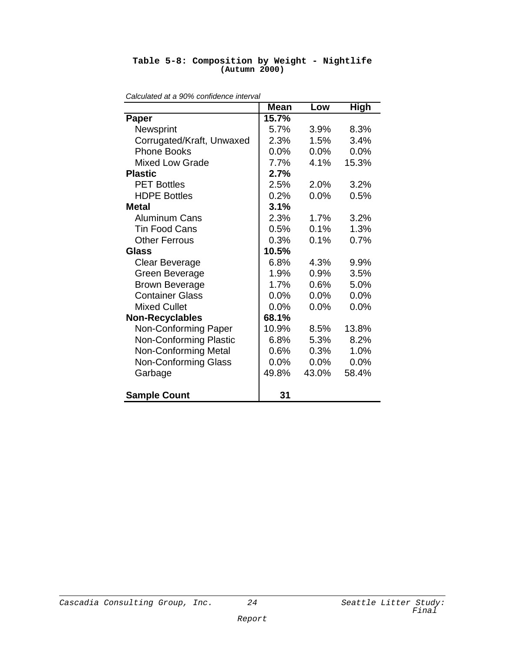| Calculated at a 90% confidence interval |             |         |             |  |  |  |
|-----------------------------------------|-------------|---------|-------------|--|--|--|
|                                         | <b>Mean</b> | Low     | <b>High</b> |  |  |  |
| Paper                                   | 15.7%       |         |             |  |  |  |
| Newsprint                               | 5.7%        | 3.9%    | 8.3%        |  |  |  |
| Corrugated/Kraft, Unwaxed               | 2.3%        | 1.5%    | 3.4%        |  |  |  |
| <b>Phone Books</b>                      | 0.0%        | 0.0%    | 0.0%        |  |  |  |
| <b>Mixed Low Grade</b>                  | 7.7%        | 4.1%    | 15.3%       |  |  |  |
| <b>Plastic</b>                          | 2.7%        |         |             |  |  |  |
| <b>PET Bottles</b>                      | 2.5%        | 2.0%    | 3.2%        |  |  |  |
| <b>HDPE Bottles</b>                     | 0.2%        | $0.0\%$ | 0.5%        |  |  |  |
| <b>Metal</b>                            | 3.1%        |         |             |  |  |  |
| <b>Aluminum Cans</b>                    | 2.3%        | 1.7%    | 3.2%        |  |  |  |
| <b>Tin Food Cans</b>                    | 0.5%        | 0.1%    | 1.3%        |  |  |  |
| <b>Other Ferrous</b>                    | 0.3%        | 0.1%    | 0.7%        |  |  |  |
| Glass                                   | 10.5%       |         |             |  |  |  |
| <b>Clear Beverage</b>                   | 6.8%        | 4.3%    | 9.9%        |  |  |  |
| Green Beverage                          | 1.9%        | 0.9%    | 3.5%        |  |  |  |
| <b>Brown Beverage</b>                   | 1.7%        | 0.6%    | 5.0%        |  |  |  |
| <b>Container Glass</b>                  | 0.0%        | $0.0\%$ | 0.0%        |  |  |  |
| <b>Mixed Cullet</b>                     | 0.0%        | 0.0%    | 0.0%        |  |  |  |
| <b>Non-Recyclables</b>                  | 68.1%       |         |             |  |  |  |
| Non-Conforming Paper                    | 10.9%       | 8.5%    | 13.8%       |  |  |  |
| <b>Non-Conforming Plastic</b>           | 6.8%        | 5.3%    | 8.2%        |  |  |  |
| <b>Non-Conforming Metal</b>             | 0.6%        | 0.3%    | 1.0%        |  |  |  |
| <b>Non-Conforming Glass</b>             | 0.0%        | 0.0%    | 0.0%        |  |  |  |
| Garbage                                 | 49.8%       | 43.0%   | 58.4%       |  |  |  |
| <b>Sample Count</b>                     | 31          |         |             |  |  |  |

#### **Table 5-8: Composition by Weight - Nightlife (Autumn 2000)**

Cascadia Consulting Group, Inc.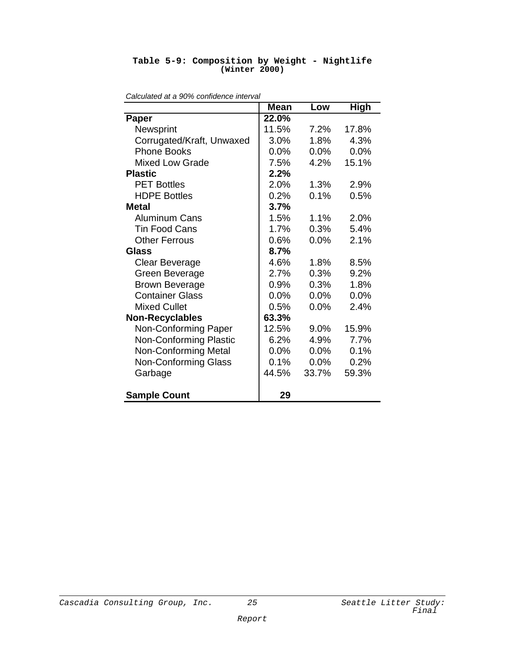|  | Table 5-9: Composition by Weight - Nightlife |  |  |
|--|----------------------------------------------|--|--|
|  | (Winter 2000)                                |  |  |

|                               | <b>Mean</b> | Low     | <b>High</b> |
|-------------------------------|-------------|---------|-------------|
| Paper                         | 22.0%       |         |             |
| Newsprint                     | 11.5%       | 7.2%    | 17.8%       |
| Corrugated/Kraft, Unwaxed     | 3.0%        | 1.8%    | 4.3%        |
| <b>Phone Books</b>            | 0.0%        | $0.0\%$ | 0.0%        |
| <b>Mixed Low Grade</b>        | 7.5%        | 4.2%    | 15.1%       |
| <b>Plastic</b>                | 2.2%        |         |             |
| <b>PET Bottles</b>            | 2.0%        | 1.3%    | 2.9%        |
| <b>HDPE Bottles</b>           | 0.2%        | 0.1%    | 0.5%        |
| Metal                         | 3.7%        |         |             |
| <b>Aluminum Cans</b>          | 1.5%        | 1.1%    | 2.0%        |
| <b>Tin Food Cans</b>          | 1.7%        | 0.3%    | 5.4%        |
| <b>Other Ferrous</b>          | 0.6%        | 0.0%    | 2.1%        |
| Glass                         | 8.7%        |         |             |
| Clear Beverage                | 4.6%        | $1.8\%$ | 8.5%        |
| <b>Green Beverage</b>         | 2.7%        | 0.3%    | 9.2%        |
| <b>Brown Beverage</b>         | 0.9%        | 0.3%    | 1.8%        |
| <b>Container Glass</b>        | 0.0%        | 0.0%    | 0.0%        |
| <b>Mixed Cullet</b>           | 0.5%        | $0.0\%$ | 2.4%        |
| <b>Non-Recyclables</b>        | 63.3%       |         |             |
| Non-Conforming Paper          | 12.5%       | 9.0%    | 15.9%       |
| <b>Non-Conforming Plastic</b> | 6.2%        | 4.9%    | 7.7%        |
| <b>Non-Conforming Metal</b>   | 0.0%        | 0.0%    | 0.1%        |
| Non-Conforming Glass          | 0.1%        | 0.0%    | 0.2%        |
| Garbage                       | 44.5%       | 33.7%   | 59.3%       |
| <b>Sample Count</b>           | 29          |         |             |

*Calculated at a 90% confidence interval*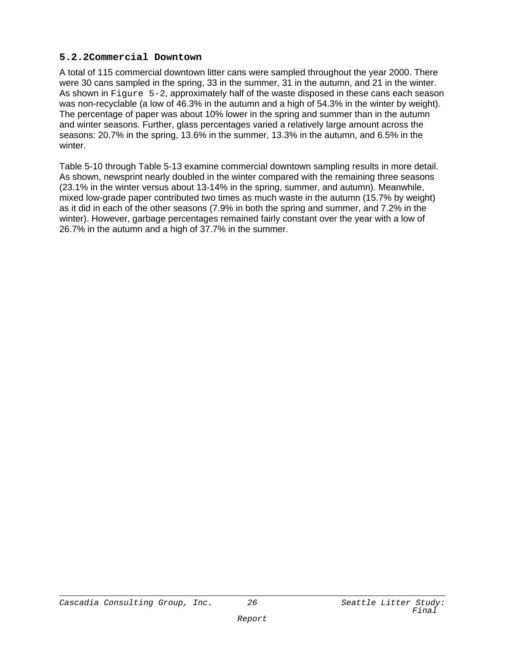#### **5.2.2Commercial Downtown**

A total of 115 commercial downtown litter cans were sampled throughout the year 2000. There were 30 cans sampled in the spring, 33 in the summer, 31 in the autumn, and 21 in the winter. As shown in Figure 5-2, approximately half of the waste disposed in these cans each season was non-recyclable (a low of 46.3% in the autumn and a high of 54.3% in the winter by weight). The percentage of paper was about 10% lower in the spring and summer than in the autumn and winter seasons. Further, glass percentages varied a relatively large amount across the seasons: 20.7% in the spring, 13.6% in the summer, 13.3% in the autumn, and 6.5% in the winter.

Table 5-10 through Table 5-13 examine commercial downtown sampling results in more detail. As shown, newsprint nearly doubled in the winter compared with the remaining three seasons (23.1% in the winter versus about 13-14% in the spring, summer, and autumn). Meanwhile, mixed low-grade paper contributed two times as much waste in the autumn (15.7% by weight) as it did in each of the other seasons (7.9% in both the spring and summer, and 7.2% in the winter). However, garbage percentages remained fairly constant over the year with a low of 26.7% in the autumn and a high of 37.7% in the summer.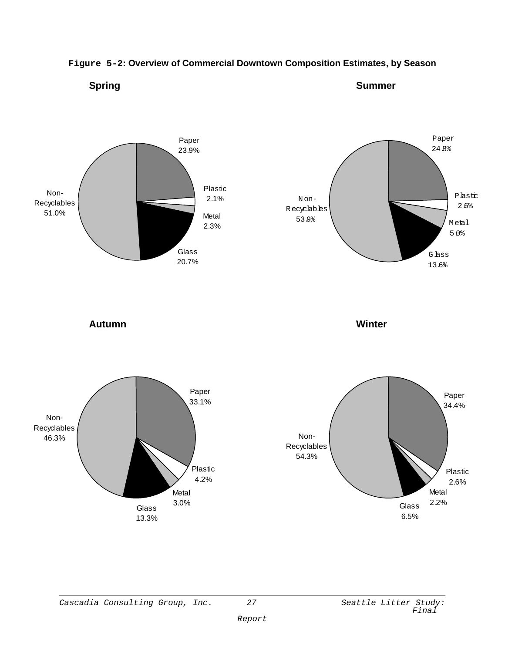

#### **Figure 5-2: Overview of Commercial Downtown Composition Estimates, by Season**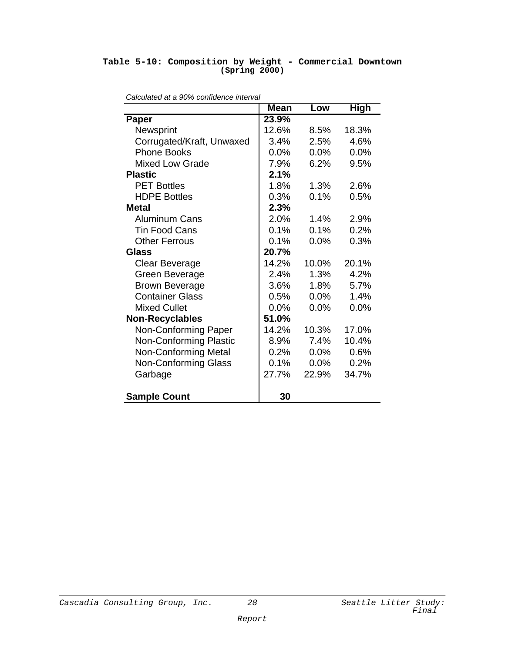#### **Table 5-10: Composition by Weight - Commercial Downtown (Spring 2000)**

|                               | <b>Mean</b> | Low     | <b>High</b> |
|-------------------------------|-------------|---------|-------------|
| Paper                         | 23.9%       |         |             |
| Newsprint                     | 12.6%       | 8.5%    | 18.3%       |
| Corrugated/Kraft, Unwaxed     | 3.4%        | 2.5%    | 4.6%        |
| <b>Phone Books</b>            | 0.0%        | $0.0\%$ | 0.0%        |
| <b>Mixed Low Grade</b>        | 7.9%        | 6.2%    | 9.5%        |
| <b>Plastic</b>                | 2.1%        |         |             |
| <b>PET Bottles</b>            | 1.8%        | 1.3%    | 2.6%        |
| <b>HDPE Bottles</b>           | 0.3%        | 0.1%    | 0.5%        |
| <b>Metal</b>                  | 2.3%        |         |             |
| <b>Aluminum Cans</b>          | 2.0%        | 1.4%    | 2.9%        |
| <b>Tin Food Cans</b>          | 0.1%        | 0.1%    | 0.2%        |
| <b>Other Ferrous</b>          | 0.1%        | $0.0\%$ | 0.3%        |
| Glass                         | 20.7%       |         |             |
| <b>Clear Beverage</b>         | 14.2%       | 10.0%   | 20.1%       |
| Green Beverage                | 2.4%        | 1.3%    | 4.2%        |
| <b>Brown Beverage</b>         | 3.6%        | 1.8%    | 5.7%        |
| <b>Container Glass</b>        | 0.5%        | $0.0\%$ | 1.4%        |
| <b>Mixed Cullet</b>           | 0.0%        | 0.0%    | 0.0%        |
| <b>Non-Recyclables</b>        | 51.0%       |         |             |
| Non-Conforming Paper          | 14.2%       | 10.3%   | 17.0%       |
| <b>Non-Conforming Plastic</b> | 8.9%        | 7.4%    | 10.4%       |
| <b>Non-Conforming Metal</b>   | 0.2%        | 0.0%    | 0.6%        |
| <b>Non-Conforming Glass</b>   | 0.1%        | 0.0%    | 0.2%        |
| Garbage                       | 27.7%       | 22.9%   | 34.7%       |
| <b>Sample Count</b>           | 30          |         |             |

*Calculated at a 90% confidence interval*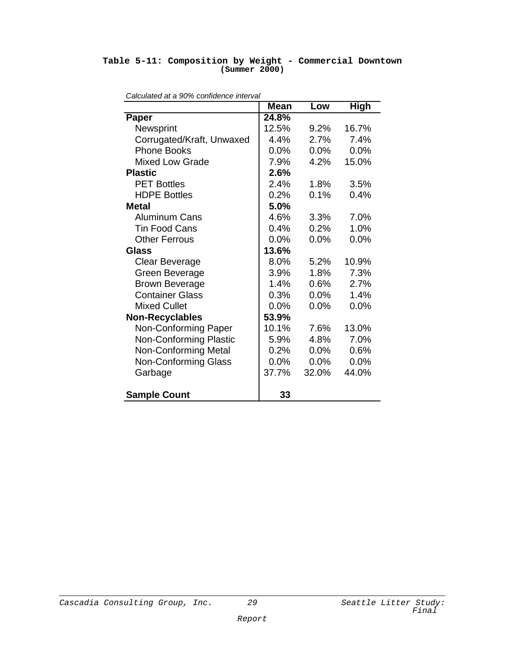#### **Table 5-11: Composition by Weight - Commercial Downtown (Summer 2000)**

|                               | <b>Mean</b> | Low   | High  |
|-------------------------------|-------------|-------|-------|
| Paper                         | 24.8%       |       |       |
| Newsprint                     | 12.5%       | 9.2%  | 16.7% |
| Corrugated/Kraft, Unwaxed     | 4.4%        | 2.7%  | 7.4%  |
| <b>Phone Books</b>            | 0.0%        | 0.0%  | 0.0%  |
| <b>Mixed Low Grade</b>        | 7.9%        | 4.2%  | 15.0% |
| <b>Plastic</b>                | 2.6%        |       |       |
| <b>PET Bottles</b>            | 2.4%        | 1.8%  | 3.5%  |
| <b>HDPE Bottles</b>           | 0.2%        | 0.1%  | 0.4%  |
| Metal                         | 5.0%        |       |       |
| <b>Aluminum Cans</b>          | 4.6%        | 3.3%  | 7.0%  |
| <b>Tin Food Cans</b>          | 0.4%        | 0.2%  | 1.0%  |
| <b>Other Ferrous</b>          | 0.0%        | 0.0%  | 0.0%  |
| Glass                         | 13.6%       |       |       |
| <b>Clear Beverage</b>         | 8.0%        | 5.2%  | 10.9% |
| Green Beverage                | 3.9%        | 1.8%  | 7.3%  |
| <b>Brown Beverage</b>         | 1.4%        | 0.6%  | 2.7%  |
| <b>Container Glass</b>        | 0.3%        | 0.0%  | 1.4%  |
| <b>Mixed Cullet</b>           | 0.0%        | 0.0%  | 0.0%  |
| <b>Non-Recyclables</b>        | 53.9%       |       |       |
| Non-Conforming Paper          | 10.1%       | 7.6%  | 13.0% |
| <b>Non-Conforming Plastic</b> | 5.9%        | 4.8%  | 7.0%  |
| <b>Non-Conforming Metal</b>   | 0.2%        | 0.0%  | 0.6%  |
| <b>Non-Conforming Glass</b>   | $0.0\%$     | 0.0%  | 0.0%  |
| Garbage                       | 37.7%       | 32.0% | 44.0% |
| <b>Sample Count</b>           | 33          |       |       |

*Calculated at a 90% confidence interval*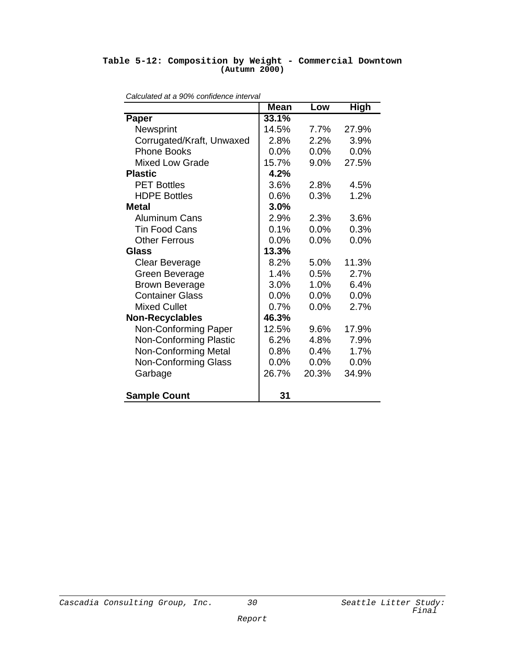#### **Table 5-12: Composition by Weight - Commercial Downtown (Autumn 2000)**

| Calculated at a 90% connuence interval | <b>Mean</b> | Low   | <b>High</b> |
|----------------------------------------|-------------|-------|-------------|
| Paper                                  | 33.1%       |       |             |
| Newsprint                              | 14.5%       | 7.7%  | 27.9%       |
| Corrugated/Kraft, Unwaxed              | 2.8%        | 2.2%  | 3.9%        |
| <b>Phone Books</b>                     | $0.0\%$     | 0.0%  | 0.0%        |
| <b>Mixed Low Grade</b>                 | 15.7%       | 9.0%  | 27.5%       |
| <b>Plastic</b>                         | 4.2%        |       |             |
| <b>PET Bottles</b>                     | 3.6%        | 2.8%  | 4.5%        |
| <b>HDPE Bottles</b>                    | 0.6%        | 0.3%  | 1.2%        |
| Metal                                  | 3.0%        |       |             |
| <b>Aluminum Cans</b>                   | 2.9%        | 2.3%  | 3.6%        |
| <b>Tin Food Cans</b>                   | $0.1\%$     | 0.0%  | 0.3%        |
| <b>Other Ferrous</b>                   | 0.0%        | 0.0%  | 0.0%        |
| Glass                                  | 13.3%       |       |             |
| Clear Beverage                         | 8.2%        | 5.0%  | 11.3%       |
| Green Beverage                         | 1.4%        | 0.5%  | 2.7%        |
| <b>Brown Beverage</b>                  | 3.0%        | 1.0%  | 6.4%        |
| <b>Container Glass</b>                 | 0.0%        | 0.0%  | 0.0%        |
| <b>Mixed Cullet</b>                    | 0.7%        | 0.0%  | 2.7%        |
| <b>Non-Recyclables</b>                 | 46.3%       |       |             |
| Non-Conforming Paper                   | 12.5%       | 9.6%  | 17.9%       |
| <b>Non-Conforming Plastic</b>          | 6.2%        | 4.8%  | 7.9%        |
| <b>Non-Conforming Metal</b>            | 0.8%        | 0.4%  | 1.7%        |
| <b>Non-Conforming Glass</b>            | 0.0%        | 0.0%  | 0.0%        |
| Garbage                                | 26.7%       | 20.3% | 34.9%       |
| <b>Sample Count</b>                    | 31          |       |             |

*Calculated at a 90% confidence interval*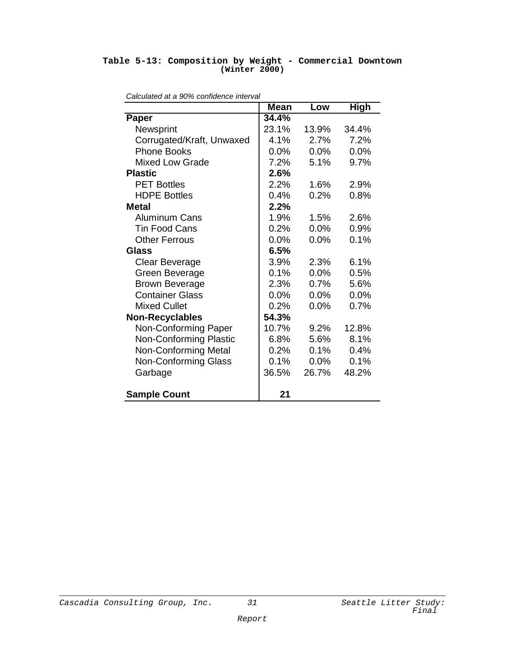#### **Table 5-13: Composition by Weight - Commercial Downtown (Winter 2000)**

| Calculated at a 90% connuence interval | <b>Mean</b> | Low     | <b>High</b> |
|----------------------------------------|-------------|---------|-------------|
| <b>Paper</b>                           | 34.4%       |         |             |
| Newsprint                              | 23.1%       | 13.9%   | 34.4%       |
| Corrugated/Kraft, Unwaxed              | 4.1%        | 2.7%    | 7.2%        |
| <b>Phone Books</b>                     | 0.0%        | 0.0%    | 0.0%        |
| <b>Mixed Low Grade</b>                 | 7.2%        | 5.1%    | 9.7%        |
| <b>Plastic</b>                         | 2.6%        |         |             |
| <b>PET Bottles</b>                     | 2.2%        | 1.6%    | 2.9%        |
| <b>HDPE Bottles</b>                    | 0.4%        | 0.2%    | 0.8%        |
| <b>Metal</b>                           | 2.2%        |         |             |
| <b>Aluminum Cans</b>                   | 1.9%        | 1.5%    | 2.6%        |
| <b>Tin Food Cans</b>                   | 0.2%        | 0.0%    | 0.9%        |
| <b>Other Ferrous</b>                   | 0.0%        | 0.0%    | 0.1%        |
| Glass                                  | 6.5%        |         |             |
| Clear Beverage                         | 3.9%        | 2.3%    | 6.1%        |
| Green Beverage                         | 0.1%        | 0.0%    | 0.5%        |
| <b>Brown Beverage</b>                  | 2.3%        | 0.7%    | 5.6%        |
| <b>Container Glass</b>                 | $0.0\%$     | $0.0\%$ | 0.0%        |
| <b>Mixed Cullet</b>                    | 0.2%        | 0.0%    | 0.7%        |
| <b>Non-Recyclables</b>                 | 54.3%       |         |             |
| Non-Conforming Paper                   | 10.7%       | 9.2%    | 12.8%       |
| <b>Non-Conforming Plastic</b>          | 6.8%        | 5.6%    | 8.1%        |
| <b>Non-Conforming Metal</b>            | 0.2%        | 0.1%    | 0.4%        |
| <b>Non-Conforming Glass</b>            | 0.1%        | 0.0%    | 0.1%        |
| Garbage                                | 36.5%       | 26.7%   | 48.2%       |
| <b>Sample Count</b>                    | 21          |         |             |

*Calculated at a 90% confidence interval*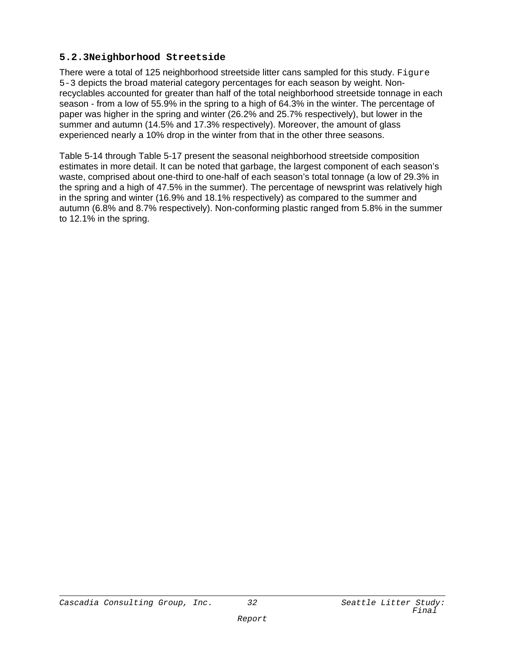#### **5.2.3Neighborhood Streetside**

There were a total of 125 neighborhood streetside litter cans sampled for this study. Figure 5-3 depicts the broad material category percentages for each season by weight. Nonrecyclables accounted for greater than half of the total neighborhood streetside tonnage in each season - from a low of 55.9% in the spring to a high of 64.3% in the winter. The percentage of paper was higher in the spring and winter (26.2% and 25.7% respectively), but lower in the summer and autumn (14.5% and 17.3% respectively). Moreover, the amount of glass experienced nearly a 10% drop in the winter from that in the other three seasons.

Table 5-14 through Table 5-17 present the seasonal neighborhood streetside composition estimates in more detail. It can be noted that garbage, the largest component of each season's waste, comprised about one-third to one-half of each season's total tonnage (a low of 29.3% in the spring and a high of 47.5% in the summer). The percentage of newsprint was relatively high in the spring and winter (16.9% and 18.1% respectively) as compared to the summer and autumn (6.8% and 8.7% respectively). Non-conforming plastic ranged from 5.8% in the summer to 12.1% in the spring.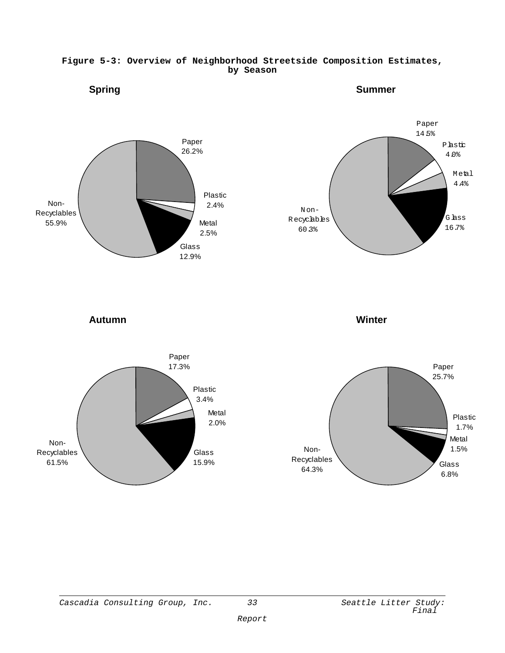

#### **Figure 5-3: Overview of Neighborhood Streetside Composition Estimates, by Season**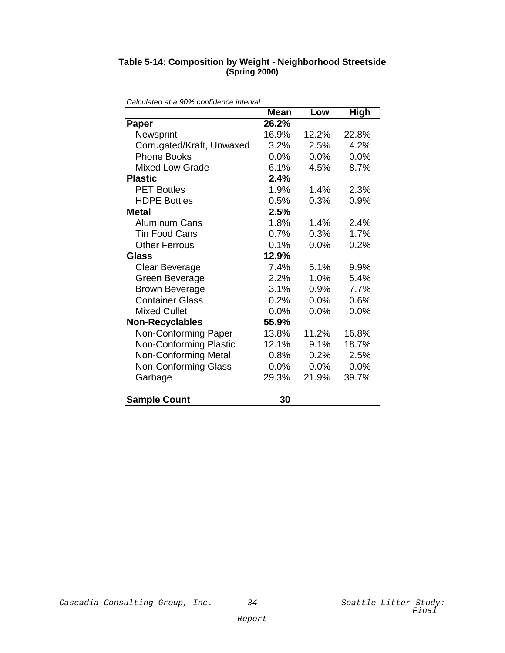#### **Table 5-14: Composition by Weight - Neighborhood Streetside (Spring 2000)**

| <i>Jaioulated at a 9070 connuence interval</i> | <b>Mean</b> | Low     | <b>High</b> |
|------------------------------------------------|-------------|---------|-------------|
| <b>Paper</b>                                   | 26.2%       |         |             |
| Newsprint                                      | 16.9%       | 12.2%   | 22.8%       |
| Corrugated/Kraft, Unwaxed                      | 3.2%        | 2.5%    | 4.2%        |
| <b>Phone Books</b>                             | 0.0%        | 0.0%    | 0.0%        |
| <b>Mixed Low Grade</b>                         | 6.1%        | 4.5%    | 8.7%        |
| <b>Plastic</b>                                 | 2.4%        |         |             |
| <b>PET Bottles</b>                             | 1.9%        | 1.4%    | 2.3%        |
| <b>HDPE Bottles</b>                            | 0.5%        | 0.3%    | 0.9%        |
| Metal                                          | 2.5%        |         |             |
| <b>Aluminum Cans</b>                           | 1.8%        | 1.4%    | 2.4%        |
| <b>Tin Food Cans</b>                           | 0.7%        | 0.3%    | 1.7%        |
| <b>Other Ferrous</b>                           | 0.1%        | 0.0%    | 0.2%        |
| Glass                                          | 12.9%       |         |             |
| <b>Clear Beverage</b>                          | 7.4%        | 5.1%    | 9.9%        |
| Green Beverage                                 | 2.2%        | 1.0%    | 5.4%        |
| <b>Brown Beverage</b>                          | 3.1%        | 0.9%    | 7.7%        |
| <b>Container Glass</b>                         | 0.2%        | 0.0%    | 0.6%        |
| <b>Mixed Cullet</b>                            | 0.0%        | $0.0\%$ | 0.0%        |
| <b>Non-Recyclables</b>                         | 55.9%       |         |             |
| Non-Conforming Paper                           | 13.8%       | 11.2%   | 16.8%       |
| <b>Non-Conforming Plastic</b>                  | 12.1%       | 9.1%    | 18.7%       |
| <b>Non-Conforming Metal</b>                    | 0.8%        | 0.2%    | 2.5%        |
| Non-Conforming Glass                           | 0.0%        | 0.0%    | 0.0%        |
| Garbage                                        | 29.3%       | 21.9%   | 39.7%       |
| <b>Sample Count</b>                            | 30          |         |             |

*Calculated at a 90% confidence interval*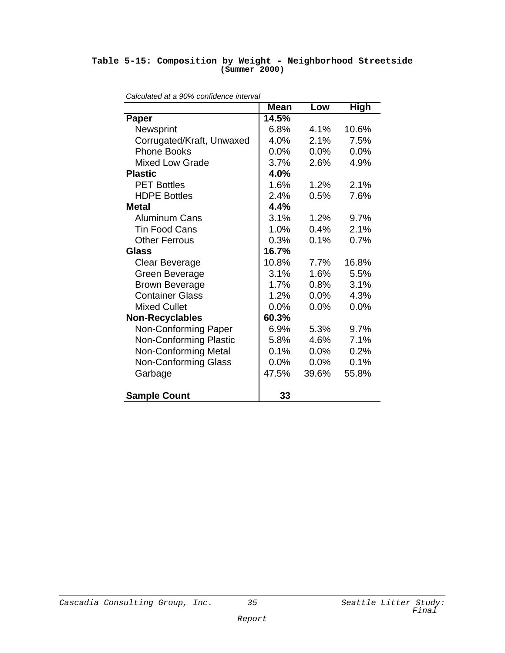#### **Table 5-15: Composition by Weight - Neighborhood Streetside (Summer 2000)**

| Calculated at a 90% connuence interval | <b>Mean</b> | Low     | <b>High</b> |
|----------------------------------------|-------------|---------|-------------|
| Paper                                  | 14.5%       |         |             |
| Newsprint                              | 6.8%        | $4.1\%$ | 10.6%       |
| Corrugated/Kraft, Unwaxed              | 4.0%        | 2.1%    | 7.5%        |
| <b>Phone Books</b>                     | 0.0%        | 0.0%    | 0.0%        |
| <b>Mixed Low Grade</b>                 | 3.7%        | 2.6%    | 4.9%        |
| <b>Plastic</b>                         | 4.0%        |         |             |
| <b>PET Bottles</b>                     | 1.6%        | 1.2%    | 2.1%        |
| <b>HDPE Bottles</b>                    | 2.4%        | 0.5%    | 7.6%        |
| <b>Metal</b>                           | 4.4%        |         |             |
| <b>Aluminum Cans</b>                   | 3.1%        | 1.2%    | 9.7%        |
| <b>Tin Food Cans</b>                   | 1.0%        | 0.4%    | 2.1%        |
| <b>Other Ferrous</b>                   | 0.3%        | 0.1%    | 0.7%        |
| <b>Glass</b>                           | 16.7%       |         |             |
| Clear Beverage                         | 10.8%       | 7.7%    | 16.8%       |
| Green Beverage                         | 3.1%        | 1.6%    | 5.5%        |
| <b>Brown Beverage</b>                  | 1.7%        | 0.8%    | 3.1%        |
| <b>Container Glass</b>                 | 1.2%        | 0.0%    | 4.3%        |
| <b>Mixed Cullet</b>                    | 0.0%        | 0.0%    | 0.0%        |
| <b>Non-Recyclables</b>                 | 60.3%       |         |             |
| Non-Conforming Paper                   | 6.9%        | 5.3%    | 9.7%        |
| <b>Non-Conforming Plastic</b>          | 5.8%        | 4.6%    | 7.1%        |
| <b>Non-Conforming Metal</b>            | 0.1%        | 0.0%    | 0.2%        |
| <b>Non-Conforming Glass</b>            | 0.0%        | 0.0%    | 0.1%        |
| Garbage                                | 47.5%       | 39.6%   | 55.8%       |
| <b>Sample Count</b>                    | 33          |         |             |

*Calculated at a 90% confidence interval*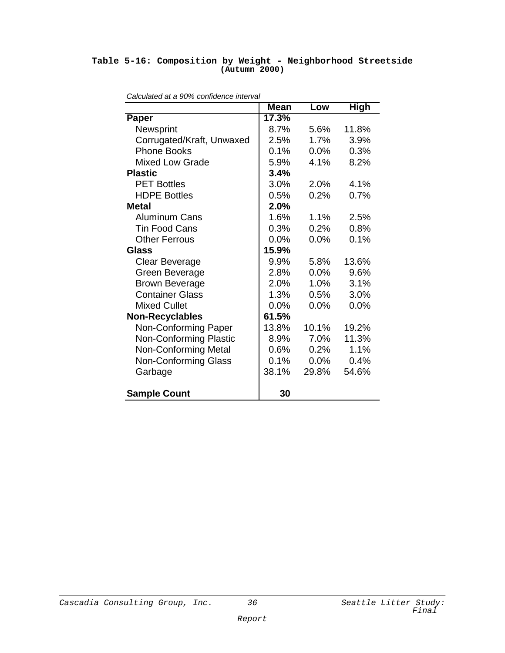#### **Table 5-16: Composition by Weight - Neighborhood Streetside (Autumn 2000)**

| <i>alculated at a 3070 contituence interval</i> | <b>Mean</b> | Low     | High  |
|-------------------------------------------------|-------------|---------|-------|
| <b>Paper</b>                                    | 17.3%       |         |       |
| Newsprint                                       | 8.7%        | 5.6%    | 11.8% |
| Corrugated/Kraft, Unwaxed                       | 2.5%        | 1.7%    | 3.9%  |
| <b>Phone Books</b>                              | 0.1%        | 0.0%    | 0.3%  |
| <b>Mixed Low Grade</b>                          | 5.9%        | 4.1%    | 8.2%  |
| <b>Plastic</b>                                  | 3.4%        |         |       |
| <b>PET Bottles</b>                              | 3.0%        | 2.0%    | 4.1%  |
| <b>HDPE Bottles</b>                             | 0.5%        | 0.2%    | 0.7%  |
| <b>Metal</b>                                    | 2.0%        |         |       |
| <b>Aluminum Cans</b>                            | 1.6%        | 1.1%    | 2.5%  |
| <b>Tin Food Cans</b>                            | 0.3%        | 0.2%    | 0.8%  |
| <b>Other Ferrous</b>                            | 0.0%        | 0.0%    | 0.1%  |
| Glass                                           | 15.9%       |         |       |
| Clear Beverage                                  | 9.9%        | 5.8%    | 13.6% |
| Green Beverage                                  | 2.8%        | 0.0%    | 9.6%  |
| <b>Brown Beverage</b>                           | 2.0%        | 1.0%    | 3.1%  |
| <b>Container Glass</b>                          | 1.3%        | 0.5%    | 3.0%  |
| <b>Mixed Cullet</b>                             | 0.0%        | 0.0%    | 0.0%  |
| <b>Non-Recyclables</b>                          | 61.5%       |         |       |
| Non-Conforming Paper                            | 13.8%       | 10.1%   | 19.2% |
| Non-Conforming Plastic                          | 8.9%        | 7.0%    | 11.3% |
| <b>Non-Conforming Metal</b>                     | 0.6%        | 0.2%    | 1.1%  |
| <b>Non-Conforming Glass</b>                     | 0.1%        | $0.0\%$ | 0.4%  |
| Garbage                                         | 38.1%       | 29.8%   | 54.6% |
| <b>Sample Count</b>                             | 30          |         |       |

| Calculated at a 90% confidence interval |  |  |
|-----------------------------------------|--|--|
|                                         |  |  |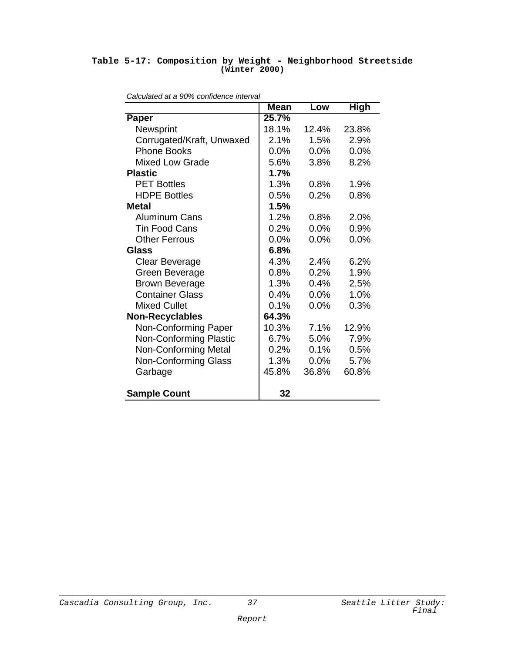#### **Table 5-17: Composition by Weight - Neighborhood Streetside (Winter 2000)**

| <i>valculated at a 3070 contituence interval</i> | <b>Mean</b> | Low   | High  |
|--------------------------------------------------|-------------|-------|-------|
| <b>Paper</b>                                     | 25.7%       |       |       |
| Newsprint                                        | 18.1%       | 12.4% | 23.8% |
| Corrugated/Kraft, Unwaxed                        | 2.1%        | 1.5%  | 2.9%  |
| <b>Phone Books</b>                               | 0.0%        | 0.0%  | 0.0%  |
| <b>Mixed Low Grade</b>                           | 5.6%        | 3.8%  | 8.2%  |
| <b>Plastic</b>                                   | 1.7%        |       |       |
| <b>PET Bottles</b>                               | 1.3%        | 0.8%  | 1.9%  |
| <b>HDPE Bottles</b>                              | 0.5%        | 0.2%  | 0.8%  |
| <b>Metal</b>                                     | 1.5%        |       |       |
| <b>Aluminum Cans</b>                             | 1.2%        | 0.8%  | 2.0%  |
| <b>Tin Food Cans</b>                             | 0.2%        | 0.0%  | 0.9%  |
| <b>Other Ferrous</b>                             | 0.0%        | 0.0%  | 0.0%  |
| Glass                                            | 6.8%        |       |       |
| Clear Beverage                                   | 4.3%        | 2.4%  | 6.2%  |
| Green Beverage                                   | 0.8%        | 0.2%  | 1.9%  |
| <b>Brown Beverage</b>                            | 1.3%        | 0.4%  | 2.5%  |
| <b>Container Glass</b>                           | 0.4%        | 0.0%  | 1.0%  |
| <b>Mixed Cullet</b>                              | 0.1%        | 0.0%  | 0.3%  |
| <b>Non-Recyclables</b>                           | 64.3%       |       |       |
| Non-Conforming Paper                             | 10.3%       | 7.1%  | 12.9% |
| <b>Non-Conforming Plastic</b>                    | 6.7%        | 5.0%  | 7.9%  |
| <b>Non-Conforming Metal</b>                      | 0.2%        | 0.1%  | 0.5%  |
| <b>Non-Conforming Glass</b>                      | 1.3%        | 0.0%  | 5.7%  |
| Garbage                                          | 45.8%       | 36.8% | 60.8% |
| <b>Sample Count</b>                              | 32          |       |       |

*Calculated at a 90% confidence interval*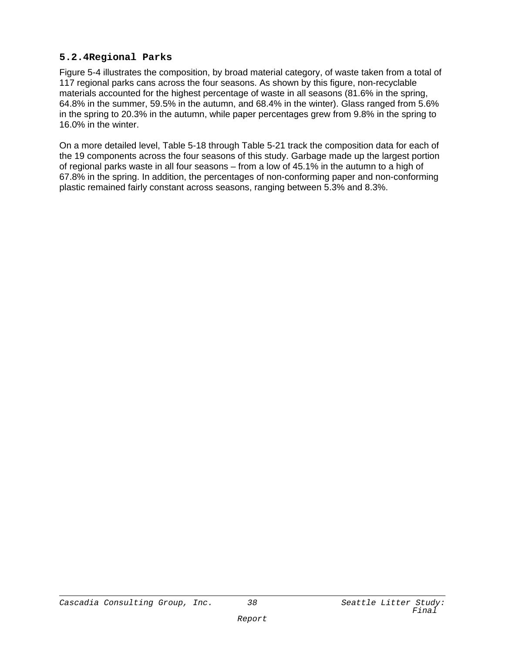#### **5.2.4Regional Parks**

Figure 5-4 illustrates the composition, by broad material category, of waste taken from a total of 117 regional parks cans across the four seasons. As shown by this figure, non-recyclable materials accounted for the highest percentage of waste in all seasons (81.6% in the spring, 64.8% in the summer, 59.5% in the autumn, and 68.4% in the winter). Glass ranged from 5.6% in the spring to 20.3% in the autumn, while paper percentages grew from 9.8% in the spring to 16.0% in the winter.

On a more detailed level, Table 5-18 through Table 5-21 track the composition data for each of the 19 components across the four seasons of this study. Garbage made up the largest portion of regional parks waste in all four seasons – from a low of 45.1% in the autumn to a high of 67.8% in the spring. In addition, the percentages of non-conforming paper and non-conforming plastic remained fairly constant across seasons, ranging between 5.3% and 8.3%.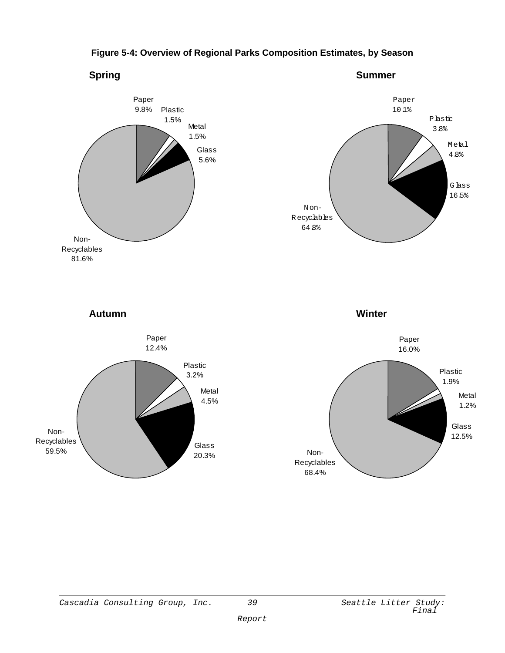

#### **Figure 5-4: Overview of Regional Parks Composition Estimates, by Season**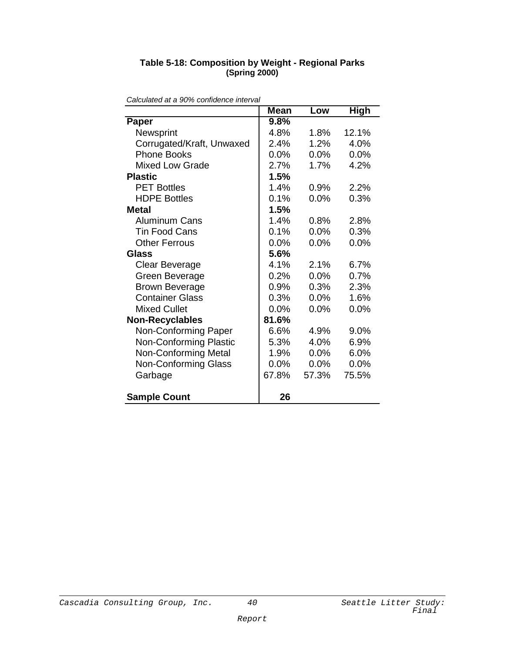| Table 5-18: Composition by Weight - Regional Parks |
|----------------------------------------------------|
| (Spring 2000)                                      |

| <i>raiculated at a 9070 connuence interval</i> | <b>Mean</b> | Low     | High  |
|------------------------------------------------|-------------|---------|-------|
| <b>Paper</b>                                   | 9.8%        |         |       |
| Newsprint                                      | 4.8%        | 1.8%    | 12.1% |
| Corrugated/Kraft, Unwaxed                      | 2.4%        | 1.2%    | 4.0%  |
| <b>Phone Books</b>                             | $0.0\%$     | $0.0\%$ | 0.0%  |
| <b>Mixed Low Grade</b>                         | 2.7%        | 1.7%    | 4.2%  |
| <b>Plastic</b>                                 | 1.5%        |         |       |
| <b>PET Bottles</b>                             | 1.4%        | 0.9%    | 2.2%  |
| <b>HDPE Bottles</b>                            | 0.1%        | 0.0%    | 0.3%  |
| Metal                                          | 1.5%        |         |       |
| <b>Aluminum Cans</b>                           | 1.4%        | 0.8%    | 2.8%  |
| <b>Tin Food Cans</b>                           | 0.1%        | 0.0%    | 0.3%  |
| <b>Other Ferrous</b>                           | 0.0%        | 0.0%    | 0.0%  |
| Glass                                          | 5.6%        |         |       |
| Clear Beverage                                 | 4.1%        | 2.1%    | 6.7%  |
| Green Beverage                                 | 0.2%        | 0.0%    | 0.7%  |
| <b>Brown Beverage</b>                          | 0.9%        | 0.3%    | 2.3%  |
| <b>Container Glass</b>                         | 0.3%        | $0.0\%$ | 1.6%  |
| <b>Mixed Cullet</b>                            | 0.0%        | 0.0%    | 0.0%  |
| <b>Non-Recyclables</b>                         | 81.6%       |         |       |
| Non-Conforming Paper                           | 6.6%        | 4.9%    | 9.0%  |
| <b>Non-Conforming Plastic</b>                  | 5.3%        | 4.0%    | 6.9%  |
| <b>Non-Conforming Metal</b>                    | 1.9%        | $0.0\%$ | 6.0%  |
| <b>Non-Conforming Glass</b>                    | 0.0%        | 0.0%    | 0.0%  |
| Garbage                                        | 67.8%       | 57.3%   | 75.5% |
| <b>Sample Count</b>                            | 26          |         |       |

*Calculated at a 90% confidence interval*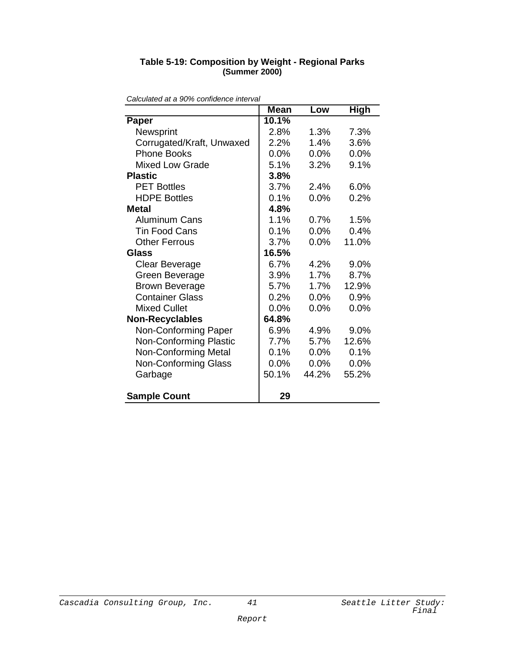| Calculated at a 90% confidence interval |             |         |             |
|-----------------------------------------|-------------|---------|-------------|
|                                         | <b>Mean</b> | Low     | <b>High</b> |
| Paper                                   | 10.1%       |         |             |
| Newsprint                               | 2.8%        | 1.3%    | 7.3%        |
| Corrugated/Kraft, Unwaxed               | 2.2%        | 1.4%    | 3.6%        |
| <b>Phone Books</b>                      | 0.0%        | 0.0%    | 0.0%        |
| <b>Mixed Low Grade</b>                  | 5.1%        | 3.2%    | 9.1%        |
| <b>Plastic</b>                          | 3.8%        |         |             |
| <b>PET Bottles</b>                      | 3.7%        | 2.4%    | 6.0%        |
| <b>HDPE Bottles</b>                     | 0.1%        | $0.0\%$ | 0.2%        |
| <b>Metal</b>                            | 4.8%        |         |             |
| <b>Aluminum Cans</b>                    | 1.1%        | 0.7%    | 1.5%        |
| <b>Tin Food Cans</b>                    | 0.1%        | 0.0%    | 0.4%        |
| <b>Other Ferrous</b>                    | 3.7%        | 0.0%    | 11.0%       |
| <b>Glass</b>                            | 16.5%       |         |             |
| Clear Beverage                          | 6.7%        | 4.2%    | 9.0%        |
| Green Beverage                          | 3.9%        | 1.7%    | 8.7%        |
| <b>Brown Beverage</b>                   | 5.7%        | 1.7%    | 12.9%       |
| <b>Container Glass</b>                  | 0.2%        | 0.0%    | 0.9%        |
| <b>Mixed Cullet</b>                     | 0.0%        | $0.0\%$ | 0.0%        |
| <b>Non-Recyclables</b>                  | 64.8%       |         |             |
| Non-Conforming Paper                    | 6.9%        | 4.9%    | 9.0%        |
| <b>Non-Conforming Plastic</b>           | 7.7%        | 5.7%    | 12.6%       |
| <b>Non-Conforming Metal</b>             | 0.1%        | $0.0\%$ | 0.1%        |
| <b>Non-Conforming Glass</b>             | 0.0%        | 0.0%    | 0.0%        |
| Garbage                                 | 50.1%       | 44.2%   | 55.2%       |
|                                         |             |         |             |
| <b>Sample Count</b>                     | 29          |         |             |
|                                         |             |         |             |

#### **Table 5-19: Composition by Weight - Regional Parks (Summer 2000)**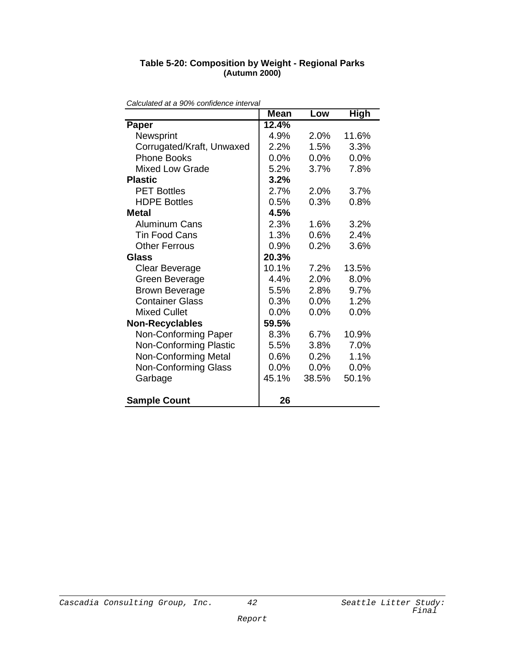#### **Table 5-20: Composition by Weight - Regional Parks (Autumn 2000)**

|                               | <b>Mean</b> | Low     | <b>High</b> |
|-------------------------------|-------------|---------|-------------|
| Paper                         | 12.4%       |         |             |
| Newsprint                     | 4.9%        | 2.0%    | 11.6%       |
| Corrugated/Kraft, Unwaxed     | 2.2%        | 1.5%    | 3.3%        |
| <b>Phone Books</b>            | 0.0%        | $0.0\%$ | 0.0%        |
| <b>Mixed Low Grade</b>        | 5.2%        | 3.7%    | 7.8%        |
| <b>Plastic</b>                | 3.2%        |         |             |
| <b>PET Bottles</b>            | 2.7%        | 2.0%    | 3.7%        |
| <b>HDPE Bottles</b>           | 0.5%        | 0.3%    | 0.8%        |
| Metal                         | 4.5%        |         |             |
| <b>Aluminum Cans</b>          | 2.3%        | 1.6%    | 3.2%        |
| <b>Tin Food Cans</b>          | 1.3%        | 0.6%    | 2.4%        |
| <b>Other Ferrous</b>          | 0.9%        | 0.2%    | 3.6%        |
| Glass                         | 20.3%       |         |             |
| <b>Clear Beverage</b>         | 10.1%       | 7.2%    | 13.5%       |
| Green Beverage                | 4.4%        | 2.0%    | 8.0%        |
| <b>Brown Beverage</b>         | 5.5%        | 2.8%    | 9.7%        |
| <b>Container Glass</b>        | 0.3%        | $0.0\%$ | 1.2%        |
| <b>Mixed Cullet</b>           | 0.0%        | 0.0%    | 0.0%        |
| <b>Non-Recyclables</b>        | 59.5%       |         |             |
| Non-Conforming Paper          | 8.3%        | 6.7%    | 10.9%       |
| <b>Non-Conforming Plastic</b> | 5.5%        | 3.8%    | 7.0%        |
| <b>Non-Conforming Metal</b>   | 0.6%        | 0.2%    | 1.1%        |
| <b>Non-Conforming Glass</b>   | 0.0%        | 0.0%    | 0.0%        |
| Garbage                       | 45.1%       | 38.5%   | 50.1%       |
| <b>Sample Count</b>           | 26          |         |             |

*Calculated at a 90% confidence interval*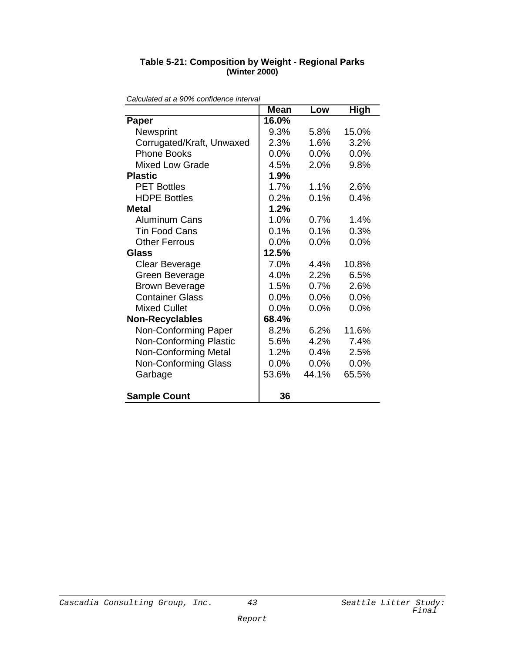| Calculated at a 90% confidence interval |             |         |             |  |
|-----------------------------------------|-------------|---------|-------------|--|
|                                         | <b>Mean</b> | Low     | <b>High</b> |  |
| Paper                                   | 16.0%       |         |             |  |
| Newsprint                               | 9.3%        | 5.8%    | 15.0%       |  |
| Corrugated/Kraft, Unwaxed               | 2.3%        | 1.6%    | 3.2%        |  |
| <b>Phone Books</b>                      | 0.0%        | 0.0%    | 0.0%        |  |
| <b>Mixed Low Grade</b>                  | 4.5%        | 2.0%    | 9.8%        |  |
| <b>Plastic</b>                          | 1.9%        |         |             |  |
| <b>PET Bottles</b>                      | 1.7%        | 1.1%    | 2.6%        |  |
| <b>HDPE Bottles</b>                     | 0.2%        | 0.1%    | 0.4%        |  |
| <b>Metal</b>                            | 1.2%        |         |             |  |
| <b>Aluminum Cans</b>                    | 1.0%        | 0.7%    | 1.4%        |  |
| <b>Tin Food Cans</b>                    | 0.1%        | 0.1%    | 0.3%        |  |
| <b>Other Ferrous</b>                    | 0.0%        | 0.0%    | 0.0%        |  |
| <b>Glass</b>                            | 12.5%       |         |             |  |
| Clear Beverage                          | 7.0%        | 4.4%    | 10.8%       |  |
| Green Beverage                          | 4.0%        | 2.2%    | 6.5%        |  |
| <b>Brown Beverage</b>                   | 1.5%        | 0.7%    | 2.6%        |  |
| <b>Container Glass</b>                  | 0.0%        | 0.0%    | 0.0%        |  |
| <b>Mixed Cullet</b>                     | 0.0%        | $0.0\%$ | 0.0%        |  |
| <b>Non-Recyclables</b>                  | 68.4%       |         |             |  |
| Non-Conforming Paper                    | 8.2%        | 6.2%    | 11.6%       |  |
| <b>Non-Conforming Plastic</b>           | 5.6%        | 4.2%    | 7.4%        |  |
| <b>Non-Conforming Metal</b>             | 1.2%        | 0.4%    | 2.5%        |  |
| Non-Conforming Glass                    | 0.0%        | 0.0%    | 0.0%        |  |
| Garbage                                 | 53.6%       | 44.1%   | 65.5%       |  |
|                                         |             |         |             |  |
| <b>Sample Count</b>                     | 36          |         |             |  |
|                                         |             |         |             |  |

#### **Table 5-21: Composition by Weight - Regional Parks (Winter 2000)**

Cascadia Consulting Group, Inc.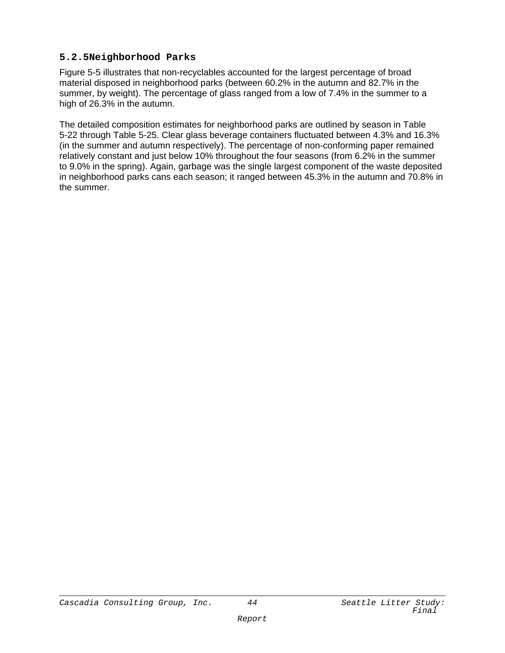#### **5.2.5Neighborhood Parks**

Figure 5-5 illustrates that non-recyclables accounted for the largest percentage of broad material disposed in neighborhood parks (between 60.2% in the autumn and 82.7% in the summer, by weight). The percentage of glass ranged from a low of 7.4% in the summer to a high of 26.3% in the autumn.

The detailed composition estimates for neighborhood parks are outlined by season in Table 5-22 through Table 5-25. Clear glass beverage containers fluctuated between 4.3% and 16.3% (in the summer and autumn respectively). The percentage of non-conforming paper remained relatively constant and just below 10% throughout the four seasons (from 6.2% in the summer to 9.0% in the spring). Again, garbage was the single largest component of the waste deposited in neighborhood parks cans each season; it ranged between 45.3% in the autumn and 70.8% in the summer.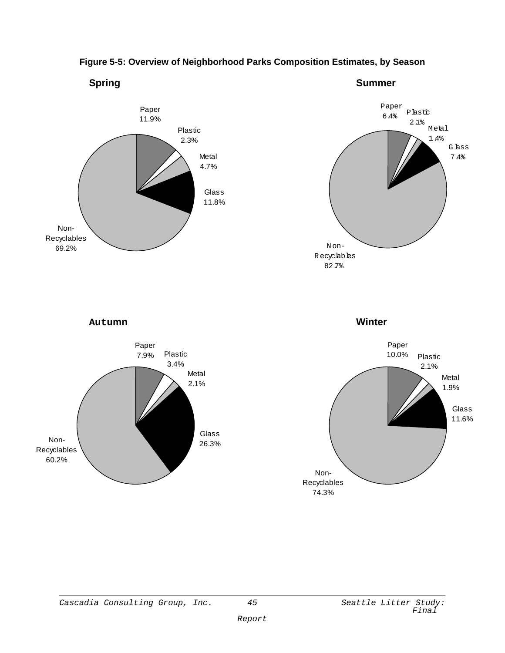

#### **Figure 5-5: Overview of Neighborhood Parks Composition Estimates, by Season**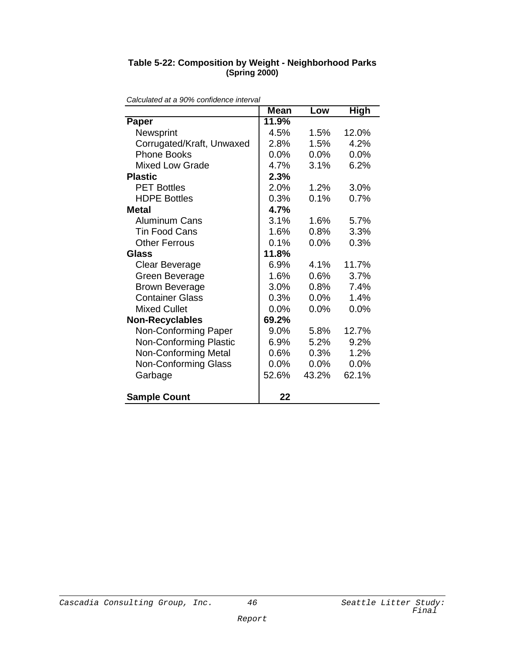#### **Table 5-22: Composition by Weight - Neighborhood Parks (Spring 2000)**

|                               | <b>Mean</b> | Low     | <b>High</b> |
|-------------------------------|-------------|---------|-------------|
| Paper                         | 11.9%       |         |             |
| Newsprint                     | 4.5%        | 1.5%    | 12.0%       |
| Corrugated/Kraft, Unwaxed     | 2.8%        | 1.5%    | 4.2%        |
| <b>Phone Books</b>            | 0.0%        | 0.0%    | 0.0%        |
| <b>Mixed Low Grade</b>        | 4.7%        | 3.1%    | 6.2%        |
| <b>Plastic</b>                | 2.3%        |         |             |
| <b>PET Bottles</b>            | 2.0%        | 1.2%    | 3.0%        |
| <b>HDPE Bottles</b>           | 0.3%        | 0.1%    | 0.7%        |
| Metal                         | 4.7%        |         |             |
| <b>Aluminum Cans</b>          | 3.1%        | 1.6%    | 5.7%        |
| <b>Tin Food Cans</b>          | 1.6%        | 0.8%    | 3.3%        |
| <b>Other Ferrous</b>          | 0.1%        | 0.0%    | 0.3%        |
| Glass                         | 11.8%       |         |             |
| Clear Beverage                | 6.9%        | 4.1%    | 11.7%       |
| Green Beverage                | 1.6%        | 0.6%    | 3.7%        |
| <b>Brown Beverage</b>         | 3.0%        | $0.8\%$ | 7.4%        |
| <b>Container Glass</b>        | 0.3%        | $0.0\%$ | 1.4%        |
| <b>Mixed Cullet</b>           | 0.0%        | 0.0%    | 0.0%        |
| <b>Non-Recyclables</b>        | 69.2%       |         |             |
| Non-Conforming Paper          | 9.0%        | 5.8%    | 12.7%       |
| <b>Non-Conforming Plastic</b> | 6.9%        | 5.2%    | 9.2%        |
| <b>Non-Conforming Metal</b>   | 0.6%        | 0.3%    | 1.2%        |
| Non-Conforming Glass          | 0.0%        | 0.0%    | 0.0%        |
| Garbage                       | 52.6%       | 43.2%   | 62.1%       |
| <b>Sample Count</b>           | 22          |         |             |

*Calculated at a 90% confidence interval*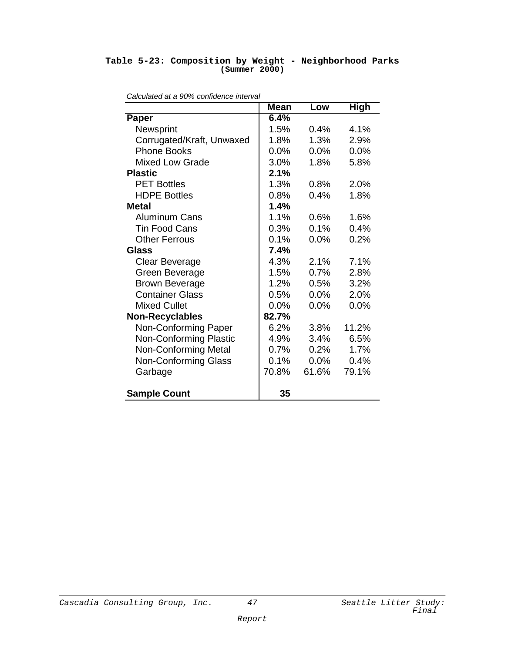#### **Table 5-23: Composition by Weight - Neighborhood Parks (Summer 2000)**

| Calculated at a 90% connuence interval | <b>Mean</b> | Low     | <b>High</b> |
|----------------------------------------|-------------|---------|-------------|
| Paper                                  | 6.4%        |         |             |
| Newsprint                              | 1.5%        | 0.4%    | 4.1%        |
| Corrugated/Kraft, Unwaxed              | 1.8%        | 1.3%    | 2.9%        |
| <b>Phone Books</b>                     | 0.0%        | 0.0%    | 0.0%        |
| <b>Mixed Low Grade</b>                 | 3.0%        | 1.8%    | 5.8%        |
| <b>Plastic</b>                         | 2.1%        |         |             |
| <b>PET Bottles</b>                     | 1.3%        | 0.8%    | 2.0%        |
| <b>HDPE Bottles</b>                    | $0.8\%$     | 0.4%    | 1.8%        |
| <b>Metal</b>                           | 1.4%        |         |             |
| <b>Aluminum Cans</b>                   | 1.1%        | 0.6%    | 1.6%        |
| <b>Tin Food Cans</b>                   | 0.3%        | 0.1%    | 0.4%        |
| <b>Other Ferrous</b>                   | 0.1%        | 0.0%    | 0.2%        |
| Glass                                  | 7.4%        |         |             |
| <b>Clear Beverage</b>                  | 4.3%        | 2.1%    | 7.1%        |
| Green Beverage                         | 1.5%        | 0.7%    | 2.8%        |
| <b>Brown Beverage</b>                  | $1.2\%$     | $0.5\%$ | 3.2%        |
| <b>Container Glass</b>                 | 0.5%        | 0.0%    | 2.0%        |
| <b>Mixed Cullet</b>                    | 0.0%        | 0.0%    | 0.0%        |
| <b>Non-Recyclables</b>                 | 82.7%       |         |             |
| Non-Conforming Paper                   | 6.2%        | 3.8%    | 11.2%       |
| <b>Non-Conforming Plastic</b>          | 4.9%        | 3.4%    | 6.5%        |
| <b>Non-Conforming Metal</b>            | 0.7%        | 0.2%    | 1.7%        |
| <b>Non-Conforming Glass</b>            | 0.1%        | $0.0\%$ | 0.4%        |
| Garbage                                | 70.8%       | 61.6%   | 79.1%       |
| <b>Sample Count</b>                    | 35          |         |             |

*Calculated at a 90% confidence interval*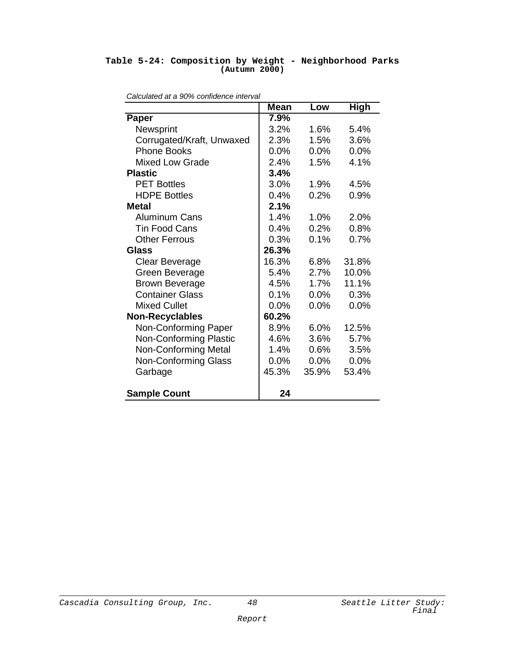#### **Table 5-24: Composition by Weight - Neighborhood Parks (Autumn 2000)**

| <i>calculated at a 3070 continuence interval</i> | <b>Mean</b> | Low     | High  |
|--------------------------------------------------|-------------|---------|-------|
| Paper                                            | 7.9%        |         |       |
| Newsprint                                        | 3.2%        | 1.6%    | 5.4%  |
| Corrugated/Kraft, Unwaxed                        | 2.3%        | 1.5%    | 3.6%  |
| <b>Phone Books</b>                               | 0.0%        | 0.0%    | 0.0%  |
| <b>Mixed Low Grade</b>                           | 2.4%        | 1.5%    | 4.1%  |
| <b>Plastic</b>                                   | 3.4%        |         |       |
| <b>PET Bottles</b>                               | $3.0\%$     | 1.9%    | 4.5%  |
| <b>HDPE Bottles</b>                              | 0.4%        | 0.2%    | 0.9%  |
| Metal                                            | 2.1%        |         |       |
| <b>Aluminum Cans</b>                             | 1.4%        | $1.0\%$ | 2.0%  |
| <b>Tin Food Cans</b>                             | 0.4%        | 0.2%    | 0.8%  |
| <b>Other Ferrous</b>                             | 0.3%        | 0.1%    | 0.7%  |
| Glass                                            | 26.3%       |         |       |
| <b>Clear Beverage</b>                            | 16.3%       | 6.8%    | 31.8% |
| Green Beverage                                   | 5.4%        | 2.7%    | 10.0% |
| <b>Brown Beverage</b>                            | 4.5%        | 1.7%    | 11.1% |
| <b>Container Glass</b>                           | 0.1%        | 0.0%    | 0.3%  |
| <b>Mixed Cullet</b>                              | 0.0%        | 0.0%    | 0.0%  |
| <b>Non-Recyclables</b>                           | 60.2%       |         |       |
| Non-Conforming Paper                             | 8.9%        | 6.0%    | 12.5% |
| <b>Non-Conforming Plastic</b>                    | 4.6%        | 3.6%    | 5.7%  |
| <b>Non-Conforming Metal</b>                      | 1.4%        | 0.6%    | 3.5%  |
| <b>Non-Conforming Glass</b>                      | 0.0%        | 0.0%    | 0.0%  |
| Garbage                                          | 45.3%       | 35.9%   | 53.4% |
| <b>Sample Count</b>                              | 24          |         |       |

| Calculated at a 90% confidence interval |  |  |
|-----------------------------------------|--|--|
|                                         |  |  |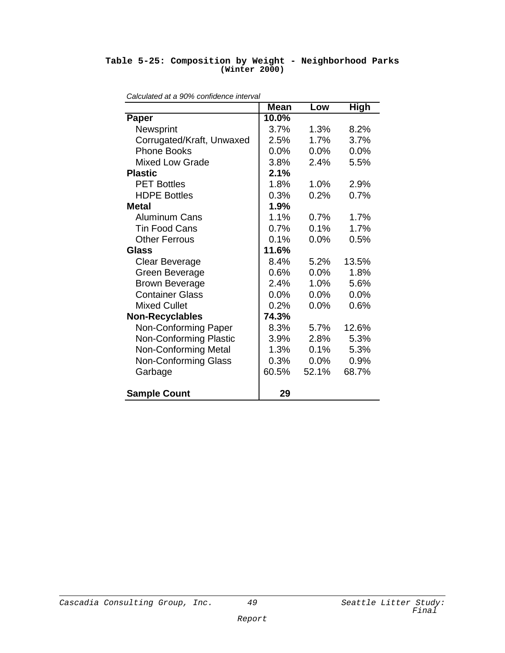#### **Table 5-25: Composition by Weight - Neighborhood Parks (Winter 2000)**

| alculated at a 3070 connuence interval | <b>Mean</b> | Low   | <b>High</b> |
|----------------------------------------|-------------|-------|-------------|
| Paper                                  | 10.0%       |       |             |
| Newsprint                              | 3.7%        | 1.3%  | 8.2%        |
| Corrugated/Kraft, Unwaxed              | 2.5%        | 1.7%  | 3.7%        |
| <b>Phone Books</b>                     | 0.0%        | 0.0%  | 0.0%        |
| <b>Mixed Low Grade</b>                 | 3.8%        | 2.4%  | 5.5%        |
| <b>Plastic</b>                         | 2.1%        |       |             |
| <b>PET Bottles</b>                     | 1.8%        | 1.0%  | 2.9%        |
| <b>HDPE Bottles</b>                    | 0.3%        | 0.2%  | 0.7%        |
| Metal                                  | 1.9%        |       |             |
| <b>Aluminum Cans</b>                   | 1.1%        | 0.7%  | 1.7%        |
| <b>Tin Food Cans</b>                   | 0.7%        | 0.1%  | 1.7%        |
| <b>Other Ferrous</b>                   | 0.1%        | 0.0%  | 0.5%        |
| Glass                                  | 11.6%       |       |             |
| Clear Beverage                         | 8.4%        | 5.2%  | 13.5%       |
| Green Beverage                         | 0.6%        | 0.0%  | 1.8%        |
| <b>Brown Beverage</b>                  | 2.4%        | 1.0%  | 5.6%        |
| <b>Container Glass</b>                 | $0.0\%$     | 0.0%  | 0.0%        |
| <b>Mixed Cullet</b>                    | 0.2%        | 0.0%  | 0.6%        |
| <b>Non-Recyclables</b>                 | 74.3%       |       |             |
| Non-Conforming Paper                   | 8.3%        | 5.7%  | 12.6%       |
| <b>Non-Conforming Plastic</b>          | 3.9%        | 2.8%  | 5.3%        |
| <b>Non-Conforming Metal</b>            | 1.3%        | 0.1%  | 5.3%        |
| <b>Non-Conforming Glass</b>            | 0.3%        | 0.0%  | 0.9%        |
| Garbage                                | 60.5%       | 52.1% | 68.7%       |
| <b>Sample Count</b>                    | 29          |       |             |

|  | Calculated at a 90% confidence interval |  |
|--|-----------------------------------------|--|
|  |                                         |  |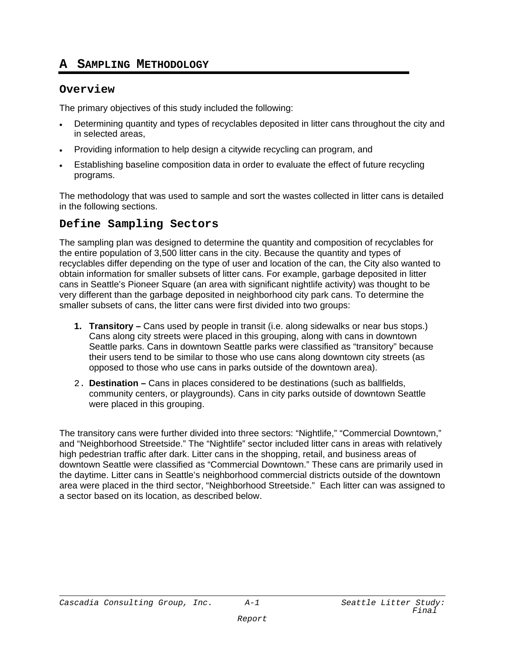# **A SAMPLING METHODOLOGY**

#### **Overview**

The primary objectives of this study included the following:

- Determining quantity and types of recyclables deposited in litter cans throughout the city and in selected areas,
- Providing information to help design a citywide recycling can program, and
- Establishing baseline composition data in order to evaluate the effect of future recycling programs.

The methodology that was used to sample and sort the wastes collected in litter cans is detailed in the following sections.

#### **Define Sampling Sectors**

The sampling plan was designed to determine the quantity and composition of recyclables for the entire population of 3,500 litter cans in the city. Because the quantity and types of recyclables differ depending on the type of user and location of the can, the City also wanted to obtain information for smaller subsets of litter cans. For example, garbage deposited in litter cans in Seattle's Pioneer Square (an area with significant nightlife activity) was thought to be very different than the garbage deposited in neighborhood city park cans. To determine the smaller subsets of cans, the litter cans were first divided into two groups:

- **1. Transitory** Cans used by people in transit (i.e. along sidewalks or near bus stops.) Cans along city streets were placed in this grouping, along with cans in downtown Seattle parks. Cans in downtown Seattle parks were classified as "transitory" because their users tend to be similar to those who use cans along downtown city streets (as opposed to those who use cans in parks outside of the downtown area).
- 2. **Destination** Cans in places considered to be destinations (such as ballfields, community centers, or playgrounds). Cans in city parks outside of downtown Seattle were placed in this grouping.

The transitory cans were further divided into three sectors: "Nightlife," "Commercial Downtown," and "Neighborhood Streetside." The "Nightlife" sector included litter cans in areas with relatively high pedestrian traffic after dark. Litter cans in the shopping, retail, and business areas of downtown Seattle were classified as "Commercial Downtown." These cans are primarily used in the daytime. Litter cans in Seattle's neighborhood commercial districts outside of the downtown area were placed in the third sector, "Neighborhood Streetside." Each litter can was assigned to a sector based on its location, as described below.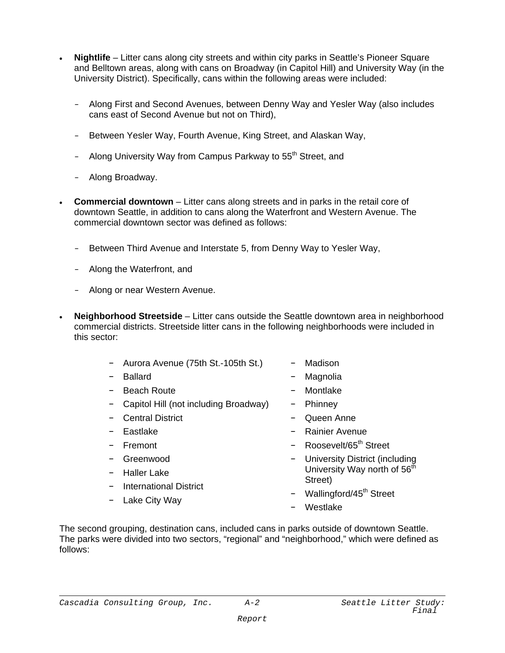- **Nightlife**  Litter cans along city streets and within city parks in Seattle's Pioneer Square and Belltown areas, along with cans on Broadway (in Capitol Hill) and University Way (in the University District). Specifically, cans within the following areas were included:
	- Along First and Second Avenues, between Denny Way and Yesler Way (also includes cans east of Second Avenue but not on Third),
	- Between Yesler Way, Fourth Avenue, King Street, and Alaskan Way,
	- Along University Way from Campus Parkway to 55<sup>th</sup> Street, and
	- Along Broadway.
- **Commercial downtown** Litter cans along streets and in parks in the retail core of downtown Seattle, in addition to cans along the Waterfront and Western Avenue. The commercial downtown sector was defined as follows:
	- Between Third Avenue and Interstate 5, from Denny Way to Yesler Way,
	- Along the Waterfront, and
	- Along or near Western Avenue.
- **Neighborhood Streetside**  Litter cans outside the Seattle downtown area in neighborhood commercial districts. Streetside litter cans in the following neighborhoods were included in this sector:
	- Aurora Avenue (75th St.-105th St.)
	- Ballard
	- Beach Route
	- Capitol Hill (not including Broadway)
	- Central District
	- Eastlake
	- Fremont
	- Greenwood
	- Haller Lake
	- International District
	- Lake City Way
- Madison
- Magnolia
- Montlake
- Phinney
- Queen Anne
- Rainier Avenue
- Roosevelt/65<sup>th</sup> Street
- University District (including University Way north of 56<sup>th</sup> Street)
- Wallingford/45<sup>th</sup> Street
- Westlake

The second grouping, destination cans, included cans in parks outside of downtown Seattle. The parks were divided into two sectors, "regional" and "neighborhood," which were defined as follows: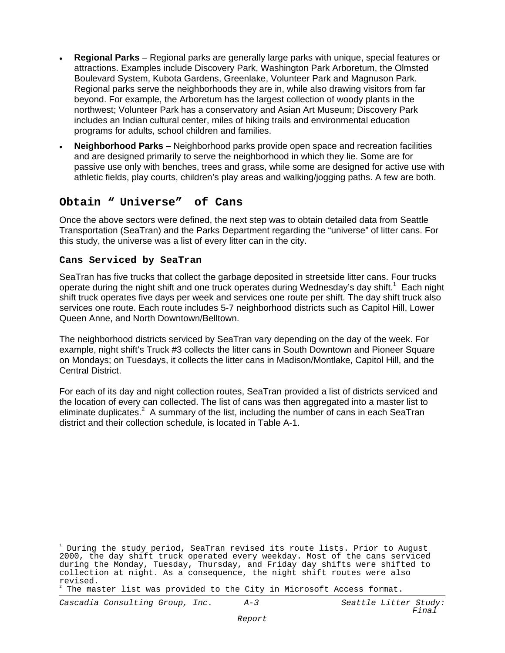- **Regional Parks** Regional parks are generally large parks with unique, special features or attractions. Examples include Discovery Park, Washington Park Arboretum, the Olmsted Boulevard System, Kubota Gardens, Greenlake, Volunteer Park and Magnuson Park. Regional parks serve the neighborhoods they are in, while also drawing visitors from far beyond. For example, the Arboretum has the largest collection of woody plants in the northwest; Volunteer Park has a conservatory and Asian Art Museum; Discovery Park includes an Indian cultural center, miles of hiking trails and environmental education programs for adults, school children and families.
- **Neighborhood Parks** Neighborhood parks provide open space and recreation facilities and are designed primarily to serve the neighborhood in which they lie. Some are for passive use only with benches, trees and grass, while some are designed for active use with athletic fields, play courts, children's play areas and walking/jogging paths. A few are both.

## **Obtain " Universe" of Cans**

Once the above sectors were defined, the next step was to obtain detailed data from Seattle Transportation (SeaTran) and the Parks Department regarding the "universe" of litter cans. For this study, the universe was a list of every litter can in the city.

#### **Cans Serviced by SeaTran**

SeaTran has five trucks that collect the garbage deposited in streetside litter cans. Four trucks operate during the night shift and one truck operates during Wednesday's day shift.<sup>1</sup> Each night shift truck operates five days per week and services one route per shift. The day shift truck also services one route. Each route includes 5-7 neighborhood districts such as Capitol Hill, Lower Queen Anne, and North Downtown/Belltown.

The neighborhood districts serviced by SeaTran vary depending on the day of the week. For example, night shift's Truck #3 collects the litter cans in South Downtown and Pioneer Square on Mondays; on Tuesdays, it collects the litter cans in Madison/Montlake, Capitol Hill, and the Central District.

For each of its day and night collection routes, SeaTran provided a list of districts serviced and the location of every can collected. The list of cans was then aggregated into a master list to eliminate duplicates.<sup>2</sup> A summary of the list, including the number of cans in each SeaTran district and their collection schedule, is located in Table A-1.

<sup>÷</sup> 1 During the study period, SeaTran revised its route lists. Prior to August 2000, the day shift truck operated every weekday. Most of the cans serviced during the Monday, Tuesday, Thursday, and Friday day shifts were shifted to collection at night. As a consequence, the night shift routes were also revised.

<sup>2</sup> The master list was provided to the City in Microsoft Access format.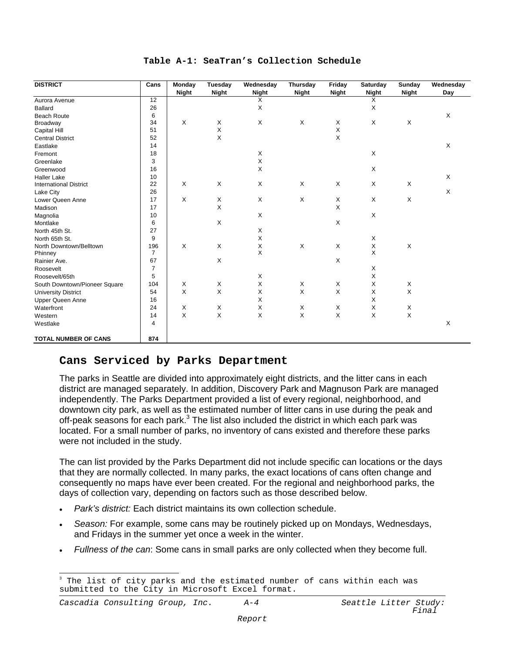#### **Table A-1: SeaTran's Collection Schedule**

| <b>DISTRICT</b>               | Cans            | Monday<br><b>Night</b> | Tuesday<br><b>Night</b> | Wednesday<br><b>Night</b> | Thursday<br>Night | Friday<br><b>Night</b> | Saturday<br><b>Night</b> | Sunday<br><b>Night</b> | Wednesday<br>Day |
|-------------------------------|-----------------|------------------------|-------------------------|---------------------------|-------------------|------------------------|--------------------------|------------------------|------------------|
| Aurora Avenue                 | $\overline{12}$ |                        |                         | X                         |                   |                        | X                        |                        |                  |
| <b>Ballard</b>                | 26              |                        |                         | X                         |                   |                        | Χ                        |                        |                  |
| <b>Beach Route</b>            | 6               |                        |                         |                           |                   |                        |                          |                        | X                |
| Broadway                      | 34              | X                      | X                       | X                         | Χ                 | X                      | X                        | X                      |                  |
| <b>Capital Hill</b>           | 51              |                        | X                       |                           |                   | Χ                      |                          |                        |                  |
| <b>Central District</b>       | 52              |                        | X                       |                           |                   | X                      |                          |                        |                  |
| Eastlake                      | 14              |                        |                         |                           |                   |                        |                          |                        | X                |
| Fremont                       | 18              |                        |                         | X                         |                   |                        | X                        |                        |                  |
| Greenlake                     | 3               |                        |                         | X                         |                   |                        |                          |                        |                  |
| Greenwood                     | 16              |                        |                         | $\mathsf X$               |                   |                        | X                        |                        |                  |
| <b>Haller Lake</b>            | 10              |                        |                         |                           |                   |                        |                          |                        | X                |
| <b>International District</b> | 22              | X                      | X                       | X                         | X                 | X                      | X                        | X                      |                  |
| Lake City                     | 26              |                        |                         |                           |                   |                        |                          |                        | X                |
| Lower Queen Anne              | 17              | X                      | X                       | X                         | X                 | X                      | Χ                        | X                      |                  |
| Madison                       | 17              |                        | Χ                       |                           |                   | Χ                      |                          |                        |                  |
| Magnolia                      | 10              |                        |                         | $\mathsf X$               |                   |                        | X                        |                        |                  |
| Montlake                      | 6               |                        | X                       |                           |                   | X                      |                          |                        |                  |
| North 45th St.                | 27              |                        |                         | X                         |                   |                        |                          |                        |                  |
| North 65th St.                | 9               |                        |                         | $\mathsf X$               |                   |                        | Χ                        |                        |                  |
| North Downtown/Belltown       | 196             | X                      | X                       | $\mathsf X$               | X                 | X                      | $_{\rm X}^{\rm X}$       | Χ                      |                  |
| Phinney                       | $\overline{7}$  |                        |                         | $\mathsf{X}$              |                   |                        |                          |                        |                  |
| Rainier Ave.                  | 67              |                        | X                       |                           |                   | X                      |                          |                        |                  |
| Roosevelt                     | $\overline{7}$  |                        |                         |                           |                   |                        | X                        |                        |                  |
| Roosevelt/65th                | 5               |                        |                         | X                         |                   |                        | Χ                        |                        |                  |
| South Downtown/Pioneer Square | 104             | X                      | X                       | $\mathsf X$               | X                 | X                      | Χ                        | Χ                      |                  |
| <b>University District</b>    | 54              | X                      | $\times$                | $\mathsf X$               | Χ                 | X                      | X                        | Χ                      |                  |
| <b>Upper Queen Anne</b>       | 16              |                        |                         | X                         |                   |                        | X                        |                        |                  |
| Waterfront                    | 24              | X                      | X                       | $\mathsf X$               | X                 | X                      | Χ                        | Χ                      |                  |
| Western                       | 14              | X                      | X                       | $\mathsf X$               | X                 | X                      | Χ                        | X                      |                  |
| Westlake                      | $\overline{4}$  |                        |                         |                           |                   |                        |                          |                        | X                |
| <b>TOTAL NUMBER OF CANS</b>   | 874             |                        |                         |                           |                   |                        |                          |                        |                  |

#### **Cans Serviced by Parks Department**

The parks in Seattle are divided into approximately eight districts, and the litter cans in each district are managed separately. In addition, Discovery Park and Magnuson Park are managed independently. The Parks Department provided a list of every regional, neighborhood, and downtown city park, as well as the estimated number of litter cans in use during the peak and off-peak seasons for each park. $3$  The list also included the district in which each park was located. For a small number of parks, no inventory of cans existed and therefore these parks were not included in the study.

The can list provided by the Parks Department did not include specific can locations or the days that they are normally collected. In many parks, the exact locations of cans often change and consequently no maps have ever been created. For the regional and neighborhood parks, the days of collection vary, depending on factors such as those described below.

- *Park's district:* Each district maintains its own collection schedule.
- *Season:* For example, some cans may be routinely picked up on Mondays, Wednesdays, and Fridays in the summer yet once a week in the winter.
- *Fullness of the can*: Some cans in small parks are only collected when they become full.

 $\frac{1}{2}$ 3 The list of city parks and the estimated number of cans within each was submitted to the City in Microsoft Excel format.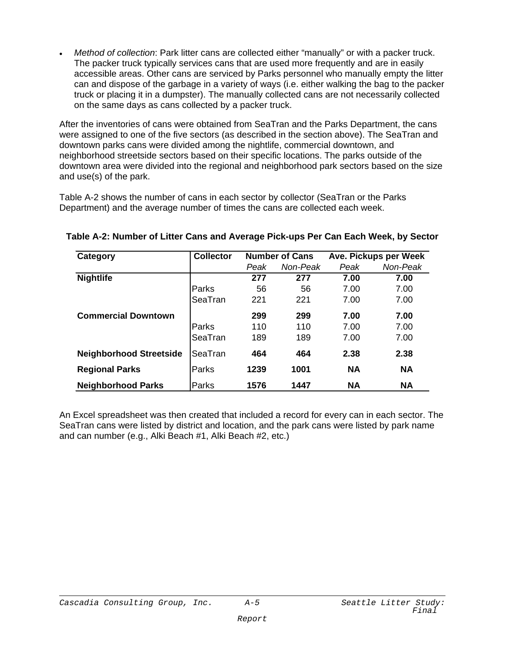• *Method of collection*: Park litter cans are collected either "manually" or with a packer truck. The packer truck typically services cans that are used more frequently and are in easily accessible areas. Other cans are serviced by Parks personnel who manually empty the litter can and dispose of the garbage in a variety of ways (i.e. either walking the bag to the packer truck or placing it in a dumpster). The manually collected cans are not necessarily collected on the same days as cans collected by a packer truck.

After the inventories of cans were obtained from SeaTran and the Parks Department, the cans were assigned to one of the five sectors (as described in the section above). The SeaTran and downtown parks cans were divided among the nightlife, commercial downtown, and neighborhood streetside sectors based on their specific locations. The parks outside of the downtown area were divided into the regional and neighborhood park sectors based on the size and use(s) of the park.

Table A-2 shows the number of cans in each sector by collector (SeaTran or the Parks Department) and the average number of times the cans are collected each week.

| Category                       | <b>Collector</b> |      | <b>Number of Cans</b> |           | Ave. Pickups per Week |
|--------------------------------|------------------|------|-----------------------|-----------|-----------------------|
|                                |                  | Peak | Non-Peak              | Peak      | Non-Peak              |
| <b>Nightlife</b>               |                  | 277  | 277                   | 7.00      | 7.00                  |
|                                | Parks            | 56   | 56                    | 7.00      | 7.00                  |
|                                | SeaTran          | 221  | 221                   | 7.00      | 7.00                  |
| <b>Commercial Downtown</b>     |                  | 299  | 299                   | 7.00      | 7.00                  |
|                                | Parks            | 110  | 110                   | 7.00      | 7.00                  |
|                                | SeaTran          | 189  | 189                   | 7.00      | 7.00                  |
| <b>Neighborhood Streetside</b> | SeaTran          | 464  | 464                   | 2.38      | 2.38                  |
| <b>Regional Parks</b>          | Parks            | 1239 | 1001                  | <b>NA</b> | <b>NA</b>             |
| <b>Neighborhood Parks</b>      | Parks            | 1576 | 1447                  | <b>NA</b> | <b>NA</b>             |

**Table A-2: Number of Litter Cans and Average Pick-ups Per Can Each Week, by Sector**

An Excel spreadsheet was then created that included a record for every can in each sector. The SeaTran cans were listed by district and location, and the park cans were listed by park name and can number (e.g., Alki Beach #1, Alki Beach #2, etc.)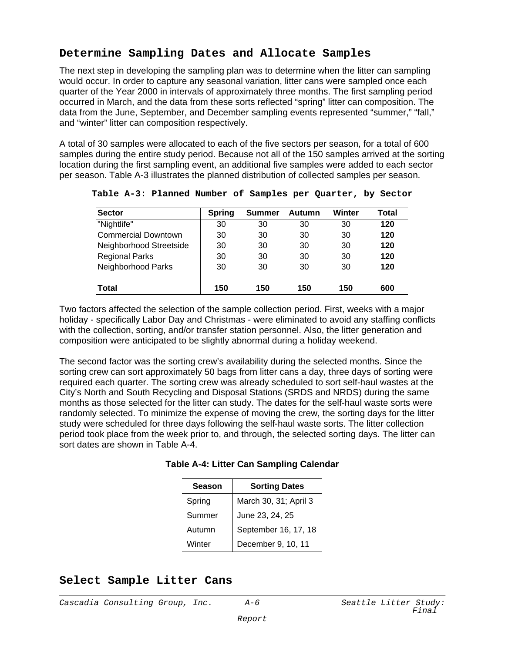# **Determine Sampling Dates and Allocate Samples**

The next step in developing the sampling plan was to determine when the litter can sampling would occur. In order to capture any seasonal variation, litter cans were sampled once each quarter of the Year 2000 in intervals of approximately three months. The first sampling period occurred in March, and the data from these sorts reflected "spring" litter can composition. The data from the June, September, and December sampling events represented "summer," "fall," and "winter" litter can composition respectively.

A total of 30 samples were allocated to each of the five sectors per season, for a total of 600 samples during the entire study period. Because not all of the 150 samples arrived at the sorting location during the first sampling event, an additional five samples were added to each sector per season. Table A-3 illustrates the planned distribution of collected samples per season.

| <b>Sector</b>              | <b>Spring</b> | Summer | Autumn | <b>Winter</b> | Total |
|----------------------------|---------------|--------|--------|---------------|-------|
| "Nightlife"                | 30            | 30     | 30     | 30            | 120   |
| <b>Commercial Downtown</b> | 30            | 30     | 30     | 30            | 120   |
| Neighborhood Streetside    | 30            | 30     | 30     | 30            | 120   |
| <b>Regional Parks</b>      | 30            | 30     | 30     | 30            | 120   |
| Neighborhood Parks         | 30            | 30     | 30     | 30            | 120   |
| <b>Total</b>               | 150           | 150    | 150    | 150           | 600   |

**Table A-3: Planned Number of Samples per Quarter, by Sector**

Two factors affected the selection of the sample collection period. First, weeks with a major holiday - specifically Labor Day and Christmas - were eliminated to avoid any staffing conflicts with the collection, sorting, and/or transfer station personnel. Also, the litter generation and composition were anticipated to be slightly abnormal during a holiday weekend.

The second factor was the sorting crew's availability during the selected months. Since the sorting crew can sort approximately 50 bags from litter cans a day, three days of sorting were required each quarter. The sorting crew was already scheduled to sort self-haul wastes at the City's North and South Recycling and Disposal Stations (SRDS and NRDS) during the same months as those selected for the litter can study. The dates for the self-haul waste sorts were randomly selected. To minimize the expense of moving the crew, the sorting days for the litter study were scheduled for three days following the self-haul waste sorts. The litter collection period took place from the week prior to, and through, the selected sorting days. The litter can sort dates are shown in Table A-4.

| <b>Season</b> | <b>Sorting Dates</b>  |
|---------------|-----------------------|
| Spring        | March 30, 31; April 3 |
| Summer        | June 23, 24, 25       |
| Autumn        | September 16, 17, 18  |
| Winter        | December 9, 10, 11    |

## **Select Sample Litter Cans**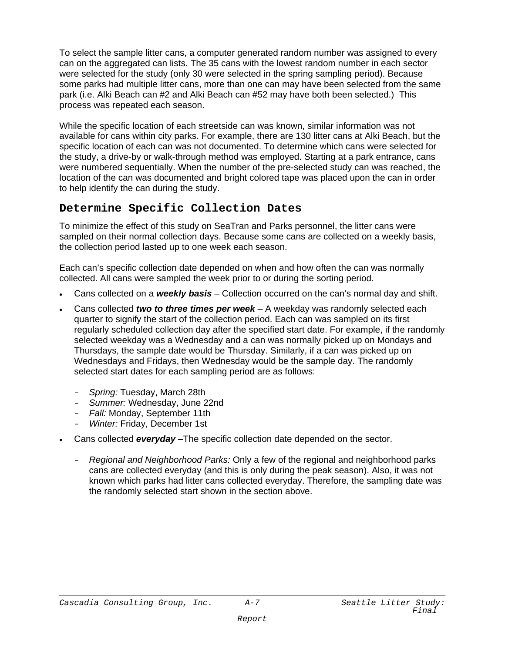To select the sample litter cans, a computer generated random number was assigned to every can on the aggregated can lists. The 35 cans with the lowest random number in each sector were selected for the study (only 30 were selected in the spring sampling period). Because some parks had multiple litter cans, more than one can may have been selected from the same park (i.e. Alki Beach can #2 and Alki Beach can #52 may have both been selected.) This process was repeated each season.

While the specific location of each streetside can was known, similar information was not available for cans within city parks. For example, there are 130 litter cans at Alki Beach, but the specific location of each can was not documented. To determine which cans were selected for the study, a drive-by or walk-through method was employed. Starting at a park entrance, cans were numbered sequentially. When the number of the pre-selected study can was reached, the location of the can was documented and bright colored tape was placed upon the can in order to help identify the can during the study.

# **Determine Specific Collection Dates**

To minimize the effect of this study on SeaTran and Parks personnel, the litter cans were sampled on their normal collection days. Because some cans are collected on a weekly basis, the collection period lasted up to one week each season.

Each can's specific collection date depended on when and how often the can was normally collected. All cans were sampled the week prior to or during the sorting period.

- Cans collected on a *weekly basis* Collection occurred on the can's normal day and shift.
- Cans collected *two to three times per week* A weekday was randomly selected each quarter to signify the start of the collection period. Each can was sampled on its first regularly scheduled collection day after the specified start date. For example, if the randomly selected weekday was a Wednesday and a can was normally picked up on Mondays and Thursdays, the sample date would be Thursday. Similarly, if a can was picked up on Wednesdays and Fridays, then Wednesday would be the sample day. The randomly selected start dates for each sampling period are as follows:
	- *Spring:* Tuesday, March 28th
	- *Summer:* Wednesday, June 22nd
	- *Fall:* Monday, September 11th
	- *Winter:* Friday, December 1st
- Cans collected *everyday* –The specific collection date depended on the sector.
	- *Regional and Neighborhood Parks:* Only a few of the regional and neighborhood parks cans are collected everyday (and this is only during the peak season). Also, it was not known which parks had litter cans collected everyday. Therefore, the sampling date was the randomly selected start shown in the section above.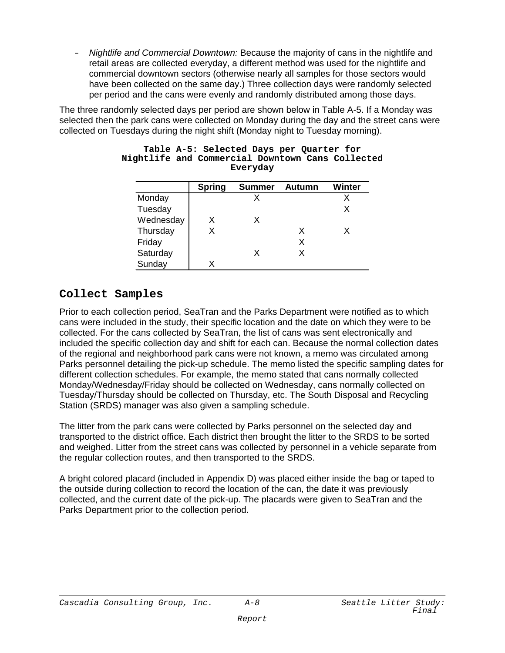*Nightlife and Commercial Downtown:* Because the majority of cans in the nightlife and retail areas are collected everyday, a different method was used for the nightlife and commercial downtown sectors (otherwise nearly all samples for those sectors would have been collected on the same day.) Three collection days were randomly selected per period and the cans were evenly and randomly distributed among those days.

The three randomly selected days per period are shown below in Table A-5. If a Monday was selected then the park cans were collected on Monday during the day and the street cans were collected on Tuesdays during the night shift (Monday night to Tuesday morning).

|           | <b>Spring</b> | <b>Summer</b> | <b>Autumn</b> | Winter |
|-----------|---------------|---------------|---------------|--------|
| Monday    |               |               |               |        |
| Tuesday   |               |               |               |        |
| Wednesday | x             | x             |               |        |
| Thursday  | x             |               | x             |        |
| Friday    |               |               | x             |        |
| Saturday  |               | x             |               |        |
| Sunday    |               |               |               |        |

#### **Table A-5: Selected Days per Quarter for Nightlife and Commercial Downtown Cans Collected Everyday**

# **Collect Samples**

Prior to each collection period, SeaTran and the Parks Department were notified as to which cans were included in the study, their specific location and the date on which they were to be collected. For the cans collected by SeaTran, the list of cans was sent electronically and included the specific collection day and shift for each can. Because the normal collection dates of the regional and neighborhood park cans were not known, a memo was circulated among Parks personnel detailing the pick-up schedule. The memo listed the specific sampling dates for different collection schedules. For example, the memo stated that cans normally collected Monday/Wednesday/Friday should be collected on Wednesday, cans normally collected on Tuesday/Thursday should be collected on Thursday, etc. The South Disposal and Recycling Station (SRDS) manager was also given a sampling schedule.

The litter from the park cans were collected by Parks personnel on the selected day and transported to the district office. Each district then brought the litter to the SRDS to be sorted and weighed. Litter from the street cans was collected by personnel in a vehicle separate from the regular collection routes, and then transported to the SRDS.

A bright colored placard (included in Appendix D) was placed either inside the bag or taped to the outside during collection to record the location of the can, the date it was previously collected, and the current date of the pick-up. The placards were given to SeaTran and the Parks Department prior to the collection period.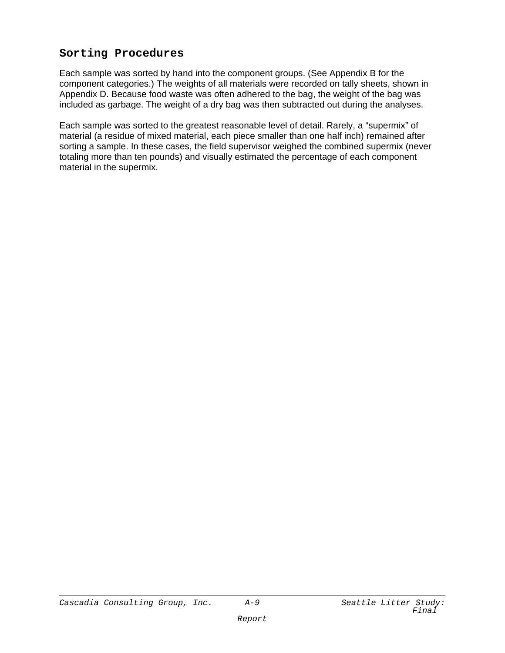# **Sorting Procedures**

Each sample was sorted by hand into the component groups. (See Appendix B for the component categories.) The weights of all materials were recorded on tally sheets, shown in Appendix D. Because food waste was often adhered to the bag, the weight of the bag was included as garbage. The weight of a dry bag was then subtracted out during the analyses.

Each sample was sorted to the greatest reasonable level of detail. Rarely, a "supermix" of material (a residue of mixed material, each piece smaller than one half inch) remained after sorting a sample. In these cases, the field supervisor weighed the combined supermix (never totaling more than ten pounds) and visually estimated the percentage of each component material in the supermix.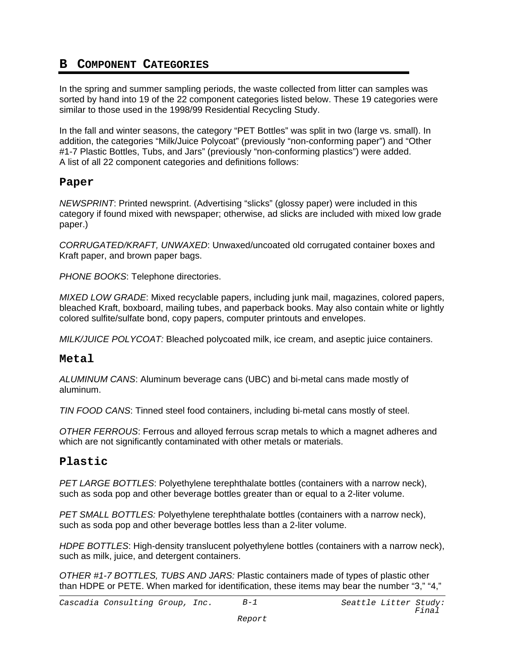# **B COMPONENT CATEGORIES**

In the spring and summer sampling periods, the waste collected from litter can samples was sorted by hand into 19 of the 22 component categories listed below. These 19 categories were similar to those used in the 1998/99 Residential Recycling Study.

In the fall and winter seasons, the category "PET Bottles" was split in two (large vs. small). In addition, the categories "Milk/Juice Polycoat" (previously "non-conforming paper") and "Other #1-7 Plastic Bottles, Tubs, and Jars" (previously "non-conforming plastics") were added. A list of all 22 component categories and definitions follows:

#### **Paper**

*NEWSPRINT*: Printed newsprint. (Advertising "slicks" (glossy paper) were included in this category if found mixed with newspaper; otherwise, ad slicks are included with mixed low grade paper.)

*CORRUGATED/KRAFT, UNWAXED*: Unwaxed/uncoated old corrugated container boxes and Kraft paper, and brown paper bags.

*PHONE BOOKS*: Telephone directories.

*MIXED LOW GRADE*: Mixed recyclable papers, including junk mail, magazines, colored papers, bleached Kraft, boxboard, mailing tubes, and paperback books. May also contain white or lightly colored sulfite/sulfate bond, copy papers, computer printouts and envelopes.

*MILK/JUICE POLYCOAT:* Bleached polycoated milk, ice cream, and aseptic juice containers.

#### **Metal**

*ALUMINUM CANS*: Aluminum beverage cans (UBC) and bi-metal cans made mostly of aluminum.

*TIN FOOD CANS*: Tinned steel food containers, including bi-metal cans mostly of steel.

*OTHER FERROUS*: Ferrous and alloyed ferrous scrap metals to which a magnet adheres and which are not significantly contaminated with other metals or materials.

## **Plastic**

*PET LARGE BOTTLES*: Polyethylene terephthalate bottles (containers with a narrow neck), such as soda pop and other beverage bottles greater than or equal to a 2-liter volume.

*PET SMALL BOTTLES:* Polyethylene terephthalate bottles (containers with a narrow neck), such as soda pop and other beverage bottles less than a 2-liter volume.

*HDPE BOTTLES*: High-density translucent polyethylene bottles (containers with a narrow neck), such as milk, juice, and detergent containers.

*OTHER #1-7 BOTTLES, TUBS AND JARS:* Plastic containers made of types of plastic other than HDPE or PETE. When marked for identification, these items may bear the number "3," "4,"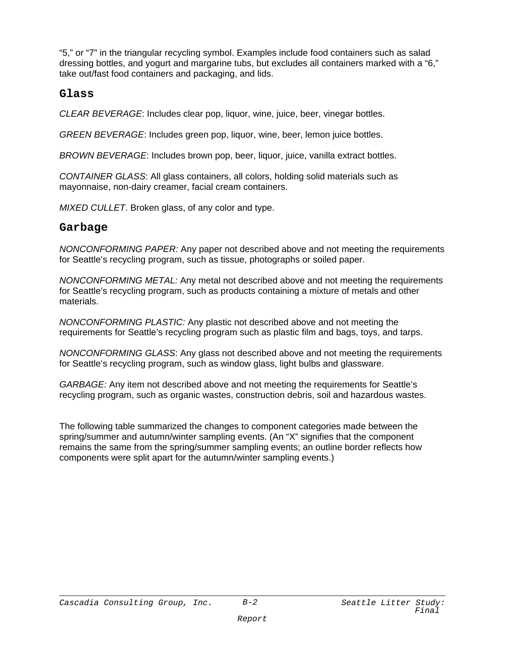"5," or "7" in the triangular recycling symbol. Examples include food containers such as salad dressing bottles, and yogurt and margarine tubs, but excludes all containers marked with a "6," take out/fast food containers and packaging, and lids.

#### **Glass**

*CLEAR BEVERAGE*: Includes clear pop, liquor, wine, juice, beer, vinegar bottles.

*GREEN BEVERAGE*: Includes green pop, liquor, wine, beer, lemon juice bottles.

*BROWN BEVERAGE*: Includes brown pop, beer, liquor, juice, vanilla extract bottles.

*CONTAINER GLASS*: All glass containers, all colors, holding solid materials such as mayonnaise, non-dairy creamer, facial cream containers.

*MIXED CULLET*. Broken glass, of any color and type.

#### **Garbage**

*NONCONFORMING PAPER:* Any paper not described above and not meeting the requirements for Seattle's recycling program, such as tissue, photographs or soiled paper.

*NONCONFORMING METAL:* Any metal not described above and not meeting the requirements for Seattle's recycling program, such as products containing a mixture of metals and other materials.

*NONCONFORMING PLASTIC:* Any plastic not described above and not meeting the requirements for Seattle's recycling program such as plastic film and bags, toys, and tarps.

*NONCONFORMING GLASS*: Any glass not described above and not meeting the requirements for Seattle's recycling program, such as window glass, light bulbs and glassware.

*GARBAGE:* Any item not described above and not meeting the requirements for Seattle's recycling program, such as organic wastes, construction debris, soil and hazardous wastes.

The following table summarized the changes to component categories made between the spring/summer and autumn/winter sampling events. (An "X" signifies that the component remains the same from the spring/summer sampling events; an outline border reflects how components were split apart for the autumn/winter sampling events.)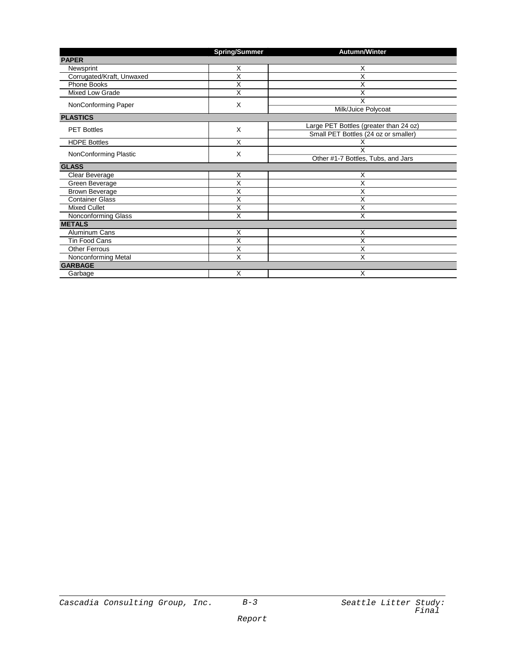|                           | <b>Spring/Summer</b>    | Autumn/Winter                          |
|---------------------------|-------------------------|----------------------------------------|
| <b>PAPER</b>              |                         |                                        |
| Newsprint                 | X                       | X                                      |
| Corrugated/Kraft, Unwaxed | X                       | X                                      |
| Phone Books               | X                       | Χ                                      |
| Mixed Low Grade           | X                       | X                                      |
| NonConforming Paper       | X                       | X                                      |
|                           |                         | Milk/Juice Polycoat                    |
| <b>PLASTICS</b>           |                         |                                        |
| <b>PET Bottles</b>        | X                       | Large PET Bottles (greater than 24 oz) |
|                           |                         | Small PET Bottles (24 oz or smaller)   |
| <b>HDPE Bottles</b>       | X                       | Χ                                      |
| NonConforming Plastic     | X                       | X                                      |
|                           |                         | Other #1-7 Bottles, Tubs, and Jars     |
| <b>GLASS</b>              |                         |                                        |
| Clear Beverage            | X                       | X                                      |
| Green Beverage            | X                       | X                                      |
| Brown Beverage            | X                       | Χ                                      |
| <b>Container Glass</b>    | Χ                       | Χ                                      |
| <b>Mixed Cullet</b>       | Χ                       | Χ                                      |
| Nonconforming Glass       | X                       | X                                      |
| <b>METALS</b>             |                         |                                        |
| Aluminum Cans             | Х                       | х                                      |
| <b>Tin Food Cans</b>      | $\overline{x}$          | X                                      |
| <b>Other Ferrous</b>      | X                       | X                                      |
| Nonconforming Metal       | $\overline{\mathsf{x}}$ | X                                      |
| <b>GARBAGE</b>            |                         |                                        |
| Garbage                   | X                       | X                                      |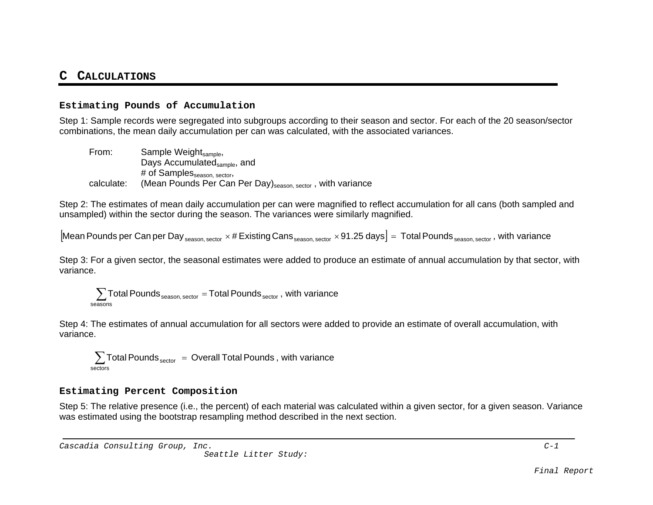#### **CCALCULATIONS**

#### **Estimating Pounds of Accumulation**

Step 1: Sample records were segregated into subgroups according to their season and sector. For each of the 20 season/sector combinations, the mean daily accumulation per can was calculated, with the associated variances.

From: Sample Weight<sub>sample</sub>, Days Accumulated<sub>sample</sub>, and # of Samples<sub>season, sector</sub>, calculate: (Mean Pounds Per Can Per Day)<sub>season, sector</sub>, with variance

Step 2: The estimates of mean daily accumulation per can were magnified to reflect accumulation for all cans (both sampled and unsampled) within the sector during the season. The variances were similarly magnified.

 $\rm{[Mean~Pounds}$  per Can per Day  $_{\rm{season, sector}}\times\#$  Existing Cans  $_{\rm{season, sector}}\times$  91.25 days $\rm{]}$  = Total Pounds  $_{\rm{season, sector}}$  , with variance

Step 3: For a given sector, the seasonal estimates were added to produce an estimate of annual accumulation by that sector, wit hvariance.

 $\sum$  Total Pounds  $_{\text{season, sector}}$  = Total Pounds  $_{\text{sector}}$  , with variance seasons

Step 4: The estimates of annual accumulation for all sectors were added to provide an estimate of overall accumulation, with variance.

 $\sum$ Total Pounds $_{\rm sector}$   $\,$  =  $\,$  Overall Total Pounds , with variance sectors

#### **Estimating Percent Composition**

Step 5: The relative presence (i.e., the percent) of each material was calculated within a given sector, for a given season. Variance was estimated using the bootstrap resampling method described in the next section.

Cascadia Consulting Group, Inc. C-1

Seattle Litter Study: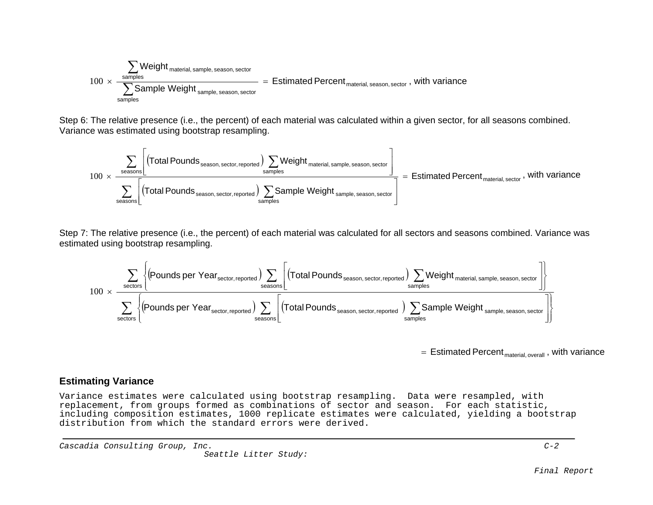$$
\underbrace{\sum_{\text{samples}}\text{Weight}_{\text{material, sample, season, sector}}}_{\text{samples}} = \text{Estimated Percent}_{\text{material, season, sector}}, \text{ with variance}
$$

Step 6: The relative presence (i.e., the percent) of each material was calculated within a given sector, for all seasons combined. Variance was estimated using bootstrap resampling.

$$
\underbrace{\sum_{\text{seasons}}\Bigg[\Big(\text{Total Pounds}_{\text{season, sector, reported}}\Big)\sum_{\text{samples}}\text{Weight}_{\text{material, sample, season, sector}}\Bigg]}_{\text{samples}} = \text{Estimated Percent}_{\text{material, sector}}\,,\text{ with variance}
$$

Step 7: The relative presence (i.e., the percent) of each material was calculated for all sectors and seasons combined. Variance was estimated using bootstrap resampling.

$$
\underbrace{\sum_{\text{sectors}}\left\{\text{(Pounds per Year, reported)}\sum_{\text{seconds}}\left[\text{(Total Pounds, sector, reported)}\sum_{\text{seconds}}\text{Vector, reported}\right]\sum_{\text{samples}}\text{Weight}_{\text{material, sample, season, sector, reported}}\right]}_{\text{samples}}
$$

 $\,=\,$  Estimated Percent $_{\tiny{\sf material,\, overall}}$  , with variance

#### **Estimating Variance**

Variance estimates were calculated using bootstrap resampling. Data were resampled, with replacement, from groups formed as combinations of sector and season. For each statistic, including composition estimates, 1000 replicate estimates were calculated, yielding a bootstrap distribution from which the standard errors were derived.

Cascadia Consulting Group, Inc. C-2

Seattle Litter Study: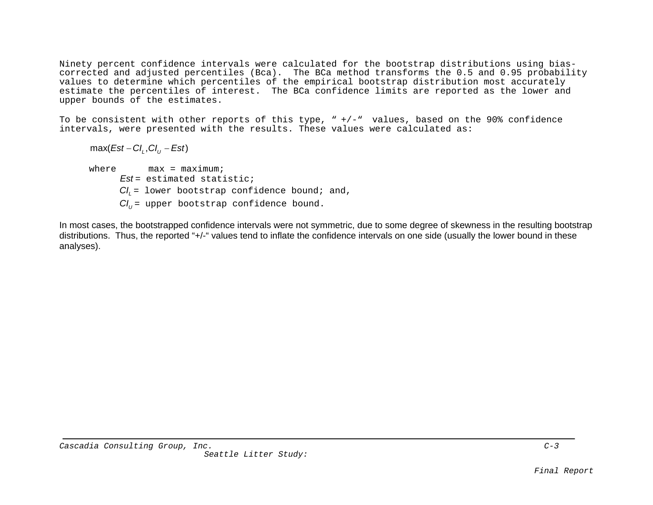Ninety percent confidence intervals were calculated for the bootstrap distributions using biascorrected and adjusted percentiles (Bca). The BCa method transforms the 0.5 and 0.95 probability values to determine which percentiles of the empirical bootstrap distribution most accurately estimate the percentiles of interest. The BCa confidence limits are reported as the lower and upper bounds of the estimates.

To be consistent with other reports of this type,  $" +/ -"$  values, based on the 90% confidence intervals, were presented with the results. These values were calculated as:

 $max( \text{Est} - \text{CI}_i, \text{CI}_i - \text{Est})$ where  $max = max_{i}$ *Est* = estimated statistic;*CIL* = lower bootstrap confidence bound; and,  $\emph{Cl}_{\emph{U}}$ = upper bootstrap confidence bound.

In most cases, the bootstrapped confidence intervals were not symmetric, due to some degree of skewness in the resulting bootstrap distributions. Thus, the reported "+/-" values tend to inflate the confidence intervals on one side (usually the lower bound in these analyses).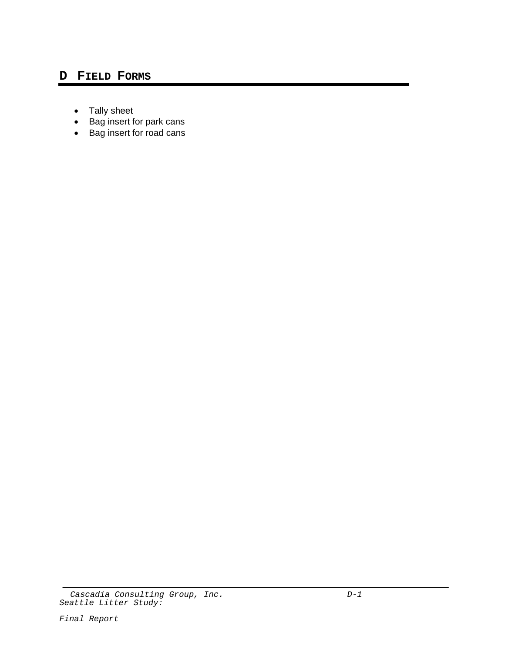## **D FIELD FORMS**

- Tally sheet
- Bag insert for park cans
- Bag insert for road cans

Cascadia Consulting Group, Inc. The contract of the D-1 Seattle Litter Study: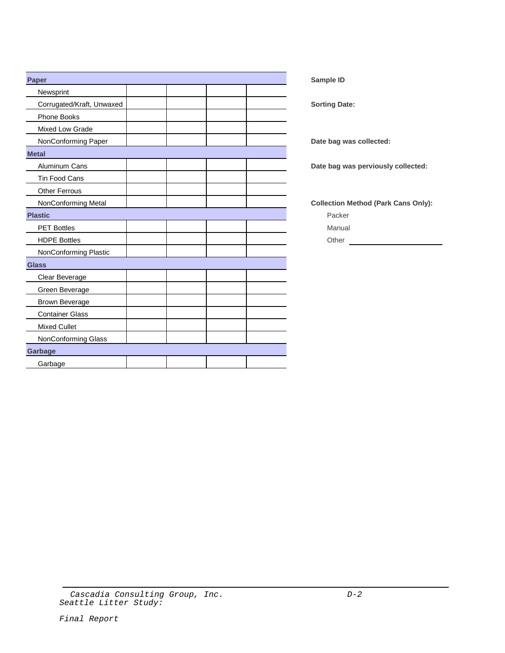| Paper                     |  |  | Sample ID                                  |
|---------------------------|--|--|--------------------------------------------|
| Newsprint                 |  |  |                                            |
| Corrugated/Kraft, Unwaxed |  |  | <b>Sorting Date:</b>                       |
| Phone Books               |  |  |                                            |
| Mixed Low Grade           |  |  |                                            |
| NonConforming Paper       |  |  | Date bag was collected:                    |
| <b>Metal</b>              |  |  |                                            |
| Aluminum Cans             |  |  | Date bag was perviously collected:         |
| Tin Food Cans             |  |  |                                            |
| Other Ferrous             |  |  |                                            |
| NonConforming Metal       |  |  | <b>Collection Method (Park Cans Only):</b> |
| <b>Plastic</b>            |  |  | Packer                                     |
| <b>PET Bottles</b>        |  |  | Manual                                     |
| <b>HDPE Bottles</b>       |  |  | Other                                      |
| NonConforming Plastic     |  |  |                                            |
| <b>Glass</b>              |  |  |                                            |
| Clear Beverage            |  |  |                                            |
| Green Beverage            |  |  |                                            |
| <b>Brown Beverage</b>     |  |  |                                            |
| <b>Container Glass</b>    |  |  |                                            |
| <b>Mixed Cullet</b>       |  |  |                                            |
| NonConforming Glass       |  |  |                                            |
| Garbage                   |  |  |                                            |
| Garbage                   |  |  |                                            |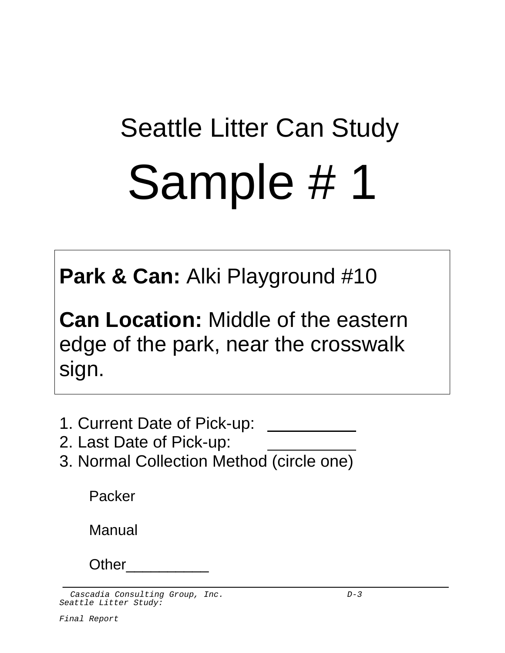# Seattle Litter Can Study Sample # 1

**Park & Can:** Alki Playground #10

**Can Location:** Middle of the eastern edge of the park, near the crosswalk sign.

- 1. Current Date of Pick-up:
- 2. Last Date of Pick-up:
- 3. Normal Collection Method (circle one)

Packer

Manual

Other\_\_\_\_\_\_\_\_\_\_

Cascadia Consulting Group, Inc.  $D-3$ Seattle Litter Study: